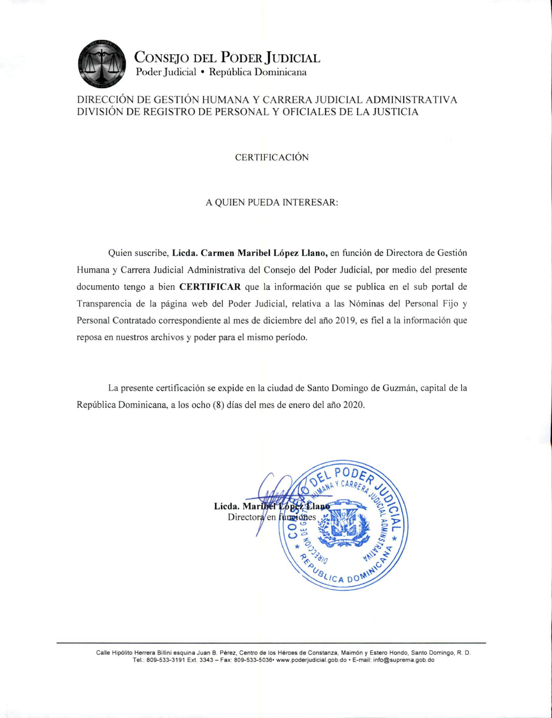

CONSEJO DEL PODER JUDICIAL Poder Judicial · República Dominicana

## DIRECCIÓN DE GESTIÓN HUMANA Y CARRERA JUDICIAL ADMINISTRATIVA DIVISIÓN DE REGISTRO DE PERSONAL Y OFICIALES DE LA JUSTICIA

**CERTIFICACIÓN** 

## A QUIEN PUEDA INTERESAR:

Quien suscribe, Licda. Carmen Maribel López Llano, en función de Directora de Gestión Humana y Carrera Judicial Administrativa del Consejo del Poder Judicial, por medio del presente documento tengo a bien **CERTIFICAR** que la información que se publica en el sub portal de Transparencia de la página web del Poder Judicial, relativa a las Nóminas del Personal Fijo y Personal Contratado correspondiente al mes de diciembre del año 2019, es fiel a la información que reposa en nuestros archivos y poder para el mismo período.

La presente certificación se expide en la ciudad de Santo Domingo de Guzmán, capital de la República Dominicana, a los ocho (8) días del mes de enero del año 2020.



Calle Hipólito Herrera Billini esquina Juan B. Pérez, Centro de los Héroes de Constanza, Maimón y Estero Hondo, Santo Domingo, R. D. Tel.: 809-533-3191 Ext. 3343 - Fax: 809-533-5036• www.poderjudicial.gob.do • E-mail: info@suprema.gob.do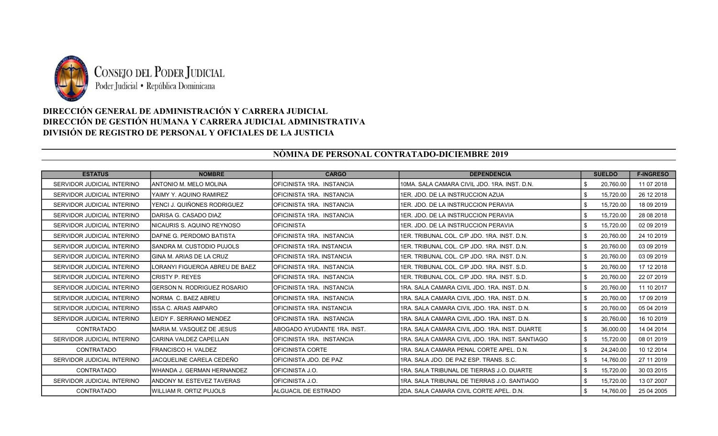

## DIRECCIÓN GENERAL DE ADMINISTRACIÓN Y CARRERA JUDICIAL DIRECCIÓN DE GESTIÓN HUMANA Y CARRERA JUDICIAL ADMINISTRATIVA DIVISIÓN DE REGISTRO DE PERSONAL Y OFICIALES DE LA JUSTICIA

## NÒMINA DE PERSONAL CONTRATADO-DICIEMBRE 2019

| <b>ESTATUS</b>             | <b>NOMBRE</b>                           | <b>CARGO</b>                 | <b>DEPENDENCIA</b>                              | <b>SUELDO</b>    | <b>F-INGRESO</b> |
|----------------------------|-----------------------------------------|------------------------------|-------------------------------------------------|------------------|------------------|
| SERVIDOR JUDICIAL INTERINO | IANTONIO M. MELO MOLINA                 | OFICINISTA 1RA. INSTANCIA    | 10MA, SALA CAMARA CIVIL JDO, 1RA, INST, D.N.    | \$.<br>20,760.00 | 11 07 2018       |
| SERVIDOR JUDICIAL INTERINO | IYAIMY Y. AQUINO RAMIREZ                | OFICINISTA 1RA. INSTANCIA    | 1ER. JDO. DE LA INSTRUCCION AZUA                | 15,720.00        | 26 12 2018       |
| SERVIDOR JUDICIAL INTERINO | YENCI J. QUIÑONES RODRIGUEZ             | OFICINISTA 1RA. INSTANCIA    | 1ER. JDO. DE LA INSTRUCCION PERAVIA             | 15,720.00        | 18 09 2019       |
| SERVIDOR JUDICIAL INTERINO | IDARISA G. CASADO DIAZ                  | OFICINISTA 1RA. INSTANCIA    | 1ER. JDO. DE LA INSTRUCCION PERAVIA             | 15,720.00<br>\$  | 28 08 2018       |
| SERVIDOR JUDICIAL INTERINO | INICAURIS S. AQUINO REYNOSO             | <b>OFICINISTA</b>            | 1ER. JDO. DE LA INSTRUCCION PERAVIA             | 15,720.00        | 02 09 2019       |
| SERVIDOR JUDICIAL INTERINO | IDAFNE G. PERDOMO BATISTA               | OFICINISTA 1RA. INSTANCIA    | 1ER. TRIBUNAL COL. C/P JDO. 1RA. INST. D.N.     | 20,760.00        | 24 10 2019       |
| SERVIDOR JUDICIAL INTERINO | ISANDRA M. CUSTODIO PUJOLS              | OFICINISTA 1RA. INSTANCIA    | 1ER. TRIBUNAL COL. C/P JDO. 1RA. INST. D.N.     | 20,760.00<br>\$. | 03 09 2019       |
| SERVIDOR JUDICIAL INTERINO | IGINA M. ARIAS DE LA CRUZ               | OFICINISTA 1RA. INSTANCIA    | 1ER. TRIBUNAL COL. C/P JDO. 1RA. INST. D.N.     | 20,760.00        | 03 09 2019       |
| SERVIDOR JUDICIAL INTERINO | <b>I</b> LORANYI FIGUEROA ABREU DE BAEZ | OFICINISTA 1RA. INSTANCIA    | 1ER. TRIBUNAL COL. C/P JDO. 1RA. INST. S.D.     | 20.760.00<br>\$  | 17 12 2018       |
| SERVIDOR JUDICIAL INTERINO | ICRISTY P. REYES                        | OFICINISTA 1RA. INSTANCIA    | 1ER. TRIBUNAL COL. C/P JDO. 1RA. INST. S.D.     | 20,760.00        | 22 07 2019       |
| SERVIDOR JUDICIAL INTERINO | <b>GERSON N. RODRIGUEZ ROSARIO</b>      | OFICINISTA 1RA. INSTANCIA    | 1RA, SALA CAMARA CIVIL JDO, 1RA, INST, D.N.     | 20,760.00<br>\$. | 11 10 2017       |
| SERVIDOR JUDICIAL INTERINO | INORMA C. BAEZ ABREU                    | OFICINISTA 1RA. INSTANCIA    | 1RA, SALA CAMARA CIVIL JDO, 1RA, INST, D.N.     | 20.760.00<br>\$. | 17 09 2019       |
| SERVIDOR JUDICIAL INTERINO | IISSA C. ARIAS AMPARO                   | OFICINISTA 1RA. INSTANCIA    | 1RA, SALA CAMARA CIVIL JDO, 1RA, INST, D.N.     | 20.760.00<br>\$. | 05 04 2019       |
| SERVIDOR JUDICIAL INTERINO | LEIDY F. SERRANO MENDEZ                 | OFICINISTA 1RA. INSTANCIA    | I1RA. SALA CAMARA CIVIL JDO. 1RA. INST. D.N.    | \$<br>20,760.00  | 16 10 2019       |
| CONTRATADO                 | MARIA M. VASQUEZ DE JESUS               | IABOGADO AYUDANTE 1RA. INST. | 1RA, SALA CAMARA CIVIL JDO, 1RA, INST, DUARTE   | 36,000.00        | 14 04 2014       |
| SERVIDOR JUDICIAL INTERINO | <b>ICARINA VALDEZ CAPELLAN</b>          | OFICINISTA 1RA. INSTANCIA    | 1RA, SALA CAMARA CIVIL JDO, 1RA, INST, SANTIAGO | 15,720.00<br>\$. | 08 01 2019       |
| CONTRATADO                 | <b>FRANCISCO H. VALDEZ</b>              | OFICINISTA CORTE             | 1RA, SALA CAMARA PENAL CORTE APEL, D.N.         | 24,240.00<br>\$  | 10 12 2014       |
| SERVIDOR JUDICIAL INTERINO | JACQUELINE CARELA CEDEÑO                | OFICINISTA JDO. DE PAZ       | 1RA, SALA JDO, DE PAZ ESP, TRANS, S.C.          | 14,760.00<br>\$. | 27 11 2019       |
| CONTRATADO                 | IWHANDA J. GERMAN HERNANDEZ             | OFICINISTA J.O.              | 1RA, SALA TRIBUNAL DE TIERRAS J.O. DUARTE       | 15,720.00<br>\$. | 30 03 2015       |
| SERVIDOR JUDICIAL INTERINO | <b>IANDONY M. ESTEVEZ TAVERAS</b>       | OFICINISTA J.O.              | 1RA, SALA TRIBUNAL DE TIERRAS J.O. SANTIAGO     | 15,720.00        | 13 07 2007       |
| <b>CONTRATADO</b>          | WILLIAM R. ORTIZ PUJOLS                 | <b>ALGUACIL DE ESTRADO</b>   | I2DA. SALA CAMARA CIVIL CORTE APEL. D.N.        | 14,760.00<br>\$  | 25 04 2005       |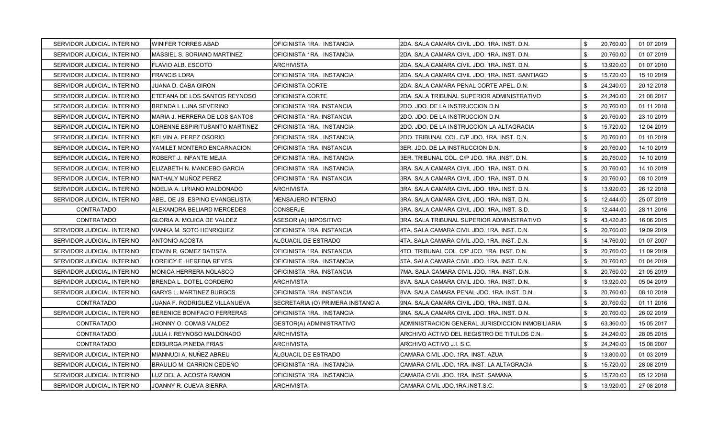| SERVIDOR JUDICIAL INTERINO | <b>WINIFER TORRES ABAD</b>      | OFICINISTA 1RA. INSTANCIA        | 2DA. SALA CAMARA CIVIL JDO. 1RA. INST. D.N.      | \$<br>20,760.00 | 01 07 2019 |
|----------------------------|---------------------------------|----------------------------------|--------------------------------------------------|-----------------|------------|
| SERVIDOR JUDICIAL INTERINO | MASSIEL S. SORIANO MARTINEZ     | OFICINISTA 1RA. INSTANCIA        | 2DA. SALA CAMARA CIVIL JDO. 1RA. INST. D.N.      | \$<br>20,760.00 | 01 07 2019 |
| SERVIDOR JUDICIAL INTERINO | FLAVIO ALB. ESCOTO              | ARCHIVISTA                       | 2DA. SALA CAMARA CIVIL JDO. 1RA. INST. D.N.      | \$<br>13,920.00 | 01 07 2010 |
| SERVIDOR JUDICIAL INTERINO | <b>FRANCIS LORA</b>             | OFICINISTA 1RA. INSTANCIA        | 2DA. SALA CAMARA CIVIL JDO. 1RA. INST. SANTIAGO  | \$<br>15,720.00 | 15 10 2019 |
| SERVIDOR JUDICIAL INTERINO | JUANA D. CABA GIRON             | OFICINISTA CORTE                 | 2DA. SALA CAMARA PENAL CORTE APEL. D.N.          | \$<br>24,240.00 | 20 12 2018 |
| SERVIDOR JUDICIAL INTERINO | ETEFANA DE LOS SANTOS REYNOSO   | OFICINISTA CORTE                 | 2DA. SALA TRIBUNAL SUPERIOR ADMINISTRATIVO       | \$<br>24,240.00 | 21 08 2017 |
| SERVIDOR JUDICIAL INTERINO | BRENDA I. LUNA SEVERINO         | OFICINISTA 1RA. INSTANCIA        | 2DO. JDO. DE LA INSTRUCCION D.N.                 | \$<br>20,760.00 | 01 11 2018 |
| SERVIDOR JUDICIAL INTERINO | MARIA J. HERRERA DE LOS SANTOS  | OFICINISTA 1RA. INSTANCIA        | 2DO. JDO. DE LA INSTRUCCION D.N.                 | \$<br>20,760.00 | 23 10 2019 |
| SERVIDOR JUDICIAL INTERINO | LORENNE ESPIRITUSANTO MARTINEZ  | OFICINISTA 1RA. INSTANCIA        | 2DO. JDO. DE LA INSTRUCCION LA ALTAGRACIA        | \$<br>15,720.00 | 12 04 2019 |
| SERVIDOR JUDICIAL INTERINO | KELVIN A. PEREZ OSORIO          | OFICINISTA 1RA. INSTANCIA        | 2DO. TRIBUNAL COL. C/P JDO. 1RA. INST. D.N.      | \$<br>20.760.00 | 01 10 2019 |
| SERVIDOR JUDICIAL INTERINO | YAMILET MONTERO ENCARNACION     | OFICINISTA 1RA. INSTANCIA        | 3ER. JDO. DE LA INSTRUCCION D.N.                 | \$<br>20,760.00 | 14 10 2019 |
| SERVIDOR JUDICIAL INTERINO | ROBERT J. INFANTE MEJIA         | OFICINISTA 1RA. INSTANCIA        | 3ER. TRIBUNAL COL. C/P JDO. 1RA .INST. D.N.      | \$<br>20,760.00 | 14 10 2019 |
| SERVIDOR JUDICIAL INTERINO | ELIZABETH N. MANCEBO GARCIA     | OFICINISTA 1RA. INSTANCIA        | 3RA. SALA CAMARA CIVIL JDO. 1RA. INST. D.N.      | \$<br>20,760.00 | 14 10 2019 |
| SERVIDOR JUDICIAL INTERINO | NATHALY MUÑOZ PEREZ             | OFICINISTA 1RA. INSTANCIA        | 3RA. SALA CAMARA CIVIL JDO. 1RA. INST. D.N.      | \$<br>20,760.00 | 08 10 2019 |
| SERVIDOR JUDICIAL INTERINO | NOELIA A. LIRIANO MALDONADO     | <b>ARCHIVISTA</b>                | 3RA. SALA CAMARA CIVIL JDO. 1RA. INST. D.N.      | \$<br>13,920.00 | 26 12 2018 |
| SERVIDOR JUDICIAL INTERINO | ABEL DE JS. ESPINO EVANGELISTA  | <b>MENSAJERO INTERNO</b>         | 3RA. SALA CAMARA CIVIL JDO. 1RA. INST. D.N.      | \$<br>12,444.00 | 25 07 2019 |
| CONTRATADO                 | ALEXANDRA BELIARD MERCEDES      | <b>CONSERJE</b>                  | 3RA. SALA CAMARA CIVIL JDO. 1RA. INST. S.D.      | \$<br>12,444.00 | 28 11 2016 |
| <b>CONTRATADO</b>          | GLORIA A. MOJICA DE VALDEZ      | ASESOR (A) IMPOSITIVO            | 3RA. SALA TRIBUNAL SUPERIOR ADMINISTRATIVO       | \$<br>43,420.80 | 16 06 2015 |
| SERVIDOR JUDICIAL INTERINO | VIANKA M. SOTO HENRIQUEZ        | OFICINISTA 1RA. INSTANCIA        | 4TA. SALA CAMARA CIVIL JDO. 1RA. INST. D.N.      | \$<br>20,760.00 | 19 09 2019 |
| SERVIDOR JUDICIAL INTERINO | ANTONIO ACOSTA                  | <b>ALGUACIL DE ESTRADO</b>       | 4TA. SALA CAMARA CIVIL JDO. 1RA. INST. D.N.      | \$<br>14,760.00 | 01 07 2007 |
| SERVIDOR JUDICIAL INTERINO | EDWIN R. GOMEZ BATISTA          | OFICINISTA 1RA. INSTANCIA        | 4TO. TRIBUNAL COL. C/P JDO. 1RA. INST. D.N.      | \$<br>20,760.00 | 11 09 2019 |
| SERVIDOR JUDICIAL INTERINO | LOREICY E. HEREDIA REYES        | OFICINISTA 1RA. INSTANCIA        | 5TA. SALA CAMARA CIVIL JDO. 1RA. INST. D.N.      | \$<br>20,760.00 | 01 04 2019 |
| SERVIDOR JUDICIAL INTERINO | MONICA HERRERA NOLASCO          | OFICINISTA 1RA. INSTANCIA        | 7MA. SALA CAMARA CIVIL JDO. 1RA. INST. D.N.      | \$<br>20,760.00 | 21 05 2019 |
| SERVIDOR JUDICIAL INTERINO | <b>BRENDA L. DOTEL CORDERO</b>  | <b>ARCHIVISTA</b>                | 8VA. SALA CAMARA CIVIL JDO. 1RA. INST. D.N.      | \$<br>13,920.00 | 05 04 2019 |
| SERVIDOR JUDICIAL INTERINO | <b>GARYS L. MARTINEZ BURGOS</b> | OFICINISTA 1RA. INSTANCIA        | 8VA. SALA CAMARA PENAL JDO. 1RA. INST. D.N.      | \$<br>20,760.00 | 08 10 2019 |
| <b>CONTRATADO</b>          | JUANA F. RODRIGUEZ VILLANUEVA   | SECRETARIA (O) PRIMERA INSTANCIA | 9NA. SALA CAMARA CIVIL JDO. 1RA. INST. D.N.      | \$<br>20,760.00 | 01 11 2016 |
| SERVIDOR JUDICIAL INTERINO | BERENICE BONIFACIO FERRERAS     | OFICINISTA 1RA. INSTANCIA        | 9NA. SALA CAMARA CIVIL JDO. 1RA. INST. D.N.      | \$<br>20,760.00 | 26 02 2019 |
| <b>CONTRATADO</b>          | JHONNY O. COMAS VALDEZ          | <b>GESTOR(A) ADMINISTRATIVO</b>  | ADMINISTRACION GENERAL JURISDICCION INMOBILIARIA | \$<br>63,360.00 | 15 05 2017 |
| <b>CONTRATADO</b>          | JULIA I. REYNOSO MALDONADO      | <b>ARCHIVISTA</b>                | ARCHIVO ACTIVO DEL REGISTRO DE TITULOS D.N.      | \$<br>24,240.00 | 28 05 2015 |
| CONTRATADO                 | EDIBURGA PINEDA FRIAS           | ARCHIVISTA                       | ARCHIVO ACTIVO J.I. S.C.                         | \$<br>24,240.00 | 15 08 2007 |
| SERVIDOR JUDICIAL INTERINO | MIANNUDI A. NUÑEZ ABREU         | ALGUACIL DE ESTRADO              | CAMARA CIVIL JDO. 1RA. INST. AZUA                | \$<br>13,800.00 | 01 03 2019 |
| SERVIDOR JUDICIAL INTERINO | BRAULIO M. CARRION CEDEÑO       | OFICINISTA 1RA. INSTANCIA        | CAMARA CIVIL JDO. 1RA. INST. LA ALTAGRACIA       | \$<br>15,720.00 | 28 08 2019 |
| SERVIDOR JUDICIAL INTERINO | LUZ DEL A. ACOSTA RAMON         | OFICINISTA 1RA. INSTANCIA        | CAMARA CIVIL JDO. 1RA. INST. SAMANA              | \$<br>15,720.00 | 05 12 2018 |
| SERVIDOR JUDICIAL INTERINO | JOANNY R. CUEVA SIERRA          | ARCHIVISTA                       | CAMARA CIVIL JDO 1RA INST S.C.                   | \$<br>13,920.00 | 27 08 2018 |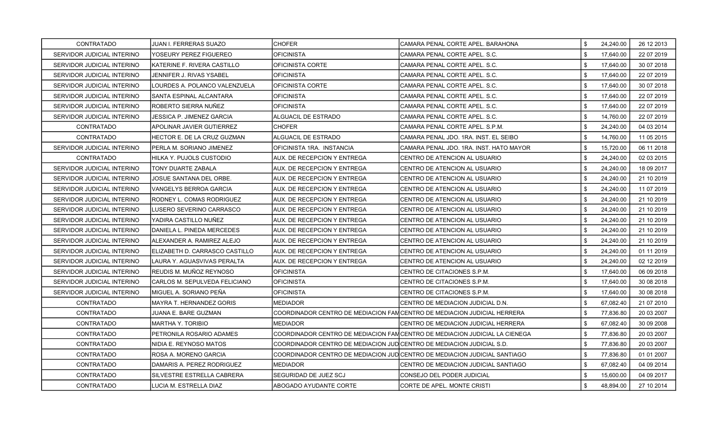| CONTRATADO                 | JUAN I. FERRERAS SUAZO         | <b>CHOFER</b>                                                         | CAMARA PENAL CORTE APEL. BARAHONA                                          | \$  | 24,240.00 | 26 12 2013 |
|----------------------------|--------------------------------|-----------------------------------------------------------------------|----------------------------------------------------------------------------|-----|-----------|------------|
| SERVIDOR JUDICIAL INTERINO | YOSEURY PEREZ FIGUEREO         | <b>OFICINISTA</b>                                                     | CAMARA PENAL CORTE APEL. S.C.                                              | \$. | 17,640.00 | 22 07 2019 |
| SERVIDOR JUDICIAL INTERINO | KATERINE F. RIVERA CASTILLO    | OFICINISTA CORTE                                                      | CAMARA PENAL CORTE APEL. S.C.                                              | \$  | 17,640.00 | 30 07 2018 |
| SERVIDOR JUDICIAL INTERINO | JENNIFER J. RIVAS YSABEL       | OFICINISTA                                                            | CAMARA PENAL CORTE APEL, S.C.                                              | \$  | 17,640.00 | 22 07 2019 |
| SERVIDOR JUDICIAL INTERINO | LOURDES A. POLANCO VALENZUELA  | OFICINISTA CORTE                                                      | CAMARA PENAL CORTE APEL, S.C.                                              | \$  | 17,640.00 | 30 07 2018 |
| SERVIDOR JUDICIAL INTERINO | SANTA ESPINAL ALCANTARA        | OFICINISTA                                                            | CAMARA PENAL CORTE APEL. S.C.                                              | \$  | 17,640.00 | 22 07 2019 |
| SERVIDOR JUDICIAL INTERINO | ROBERTO SIERRA NUÑEZ           | <b>OFICINISTA</b>                                                     | CAMARA PENAL CORTE APEL. S.C.                                              | \$  | 17,640.00 | 22 07 2019 |
| SERVIDOR JUDICIAL INTERINO | JESSICA P. JIMENEZ GARCIA      | ALGUACIL DE ESTRADO                                                   | CAMARA PENAL CORTE APEL. S.C.                                              | \$  | 14,760.00 | 22 07 2019 |
| CONTRATADO                 | APOLINAR JAVIER GUTIERREZ      | CHOFER                                                                | CAMARA PENAL CORTE APEL. S.P.M.                                            | \$  | 24,240.00 | 04 03 2014 |
| CONTRATADO                 | HECTOR E. DE LA CRUZ GUZMAN    | ALGUACIL DE ESTRADO                                                   | CAMARA PENAL JDO. 1RA. INST. EL SEIBO                                      | \$  | 14,760.00 | 11 05 2015 |
| SERVIDOR JUDICIAL INTERINO | PERLA M. SORIANO JIMENEZ       | OFICINISTA 1RA. INSTANCIA                                             | CAMARA PENAL JDO. 1RA. INST. HATO MAYOR                                    | \$  | 15,720.00 | 06 11 2018 |
| CONTRATADO                 | HILKA Y. PUJOLS CUSTODIO       | AUX. DE RECEPCION Y ENTREGA                                           | CENTRO DE ATENCION AL USUARIO                                              | \$  | 24,240.00 | 02 03 2015 |
| SERVIDOR JUDICIAL INTERINO | TONY DUARTE ZABALA             | AUX. DE RECEPCION Y ENTREGA                                           | CENTRO DE ATENCION AL USUARIO                                              | \$  | 24,240.00 | 18 09 2017 |
| SERVIDOR JUDICIAL INTERINO | JOSUE SANTANA DEL ORBE.        | AUX. DE RECEPCION Y ENTREGA                                           | CENTRO DE ATENCION AL USUARIO                                              | \$  | 24,240.00 | 21 10 2019 |
| SERVIDOR JUDICIAL INTERINO | <b>VANGELYS BERROA GARCIA</b>  | AUX. DE RECEPCION Y ENTREGA                                           | CENTRO DE ATENCION AL USUARIO                                              | \$  | 24,240.00 | 11 07 2019 |
| SERVIDOR JUDICIAL INTERINO | RODNEY L. COMAS RODRIGUEZ      | AUX. DE RECEPCION Y ENTREGA                                           | CENTRO DE ATENCION AL USUARIO                                              | \$  | 24,240.00 | 21 10 2019 |
| SERVIDOR JUDICIAL INTERINO | LUSERO SEVERINO CARRASCO       | AUX. DE RECEPCION Y ENTREGA                                           | CENTRO DE ATENCION AL USUARIO                                              | \$  | 24,240.00 | 21 10 2019 |
| SERVIDOR JUDICIAL INTERINO | YADIRA CASTILLO NUÑEZ          | AUX. DE RECEPCION Y ENTREGA                                           | CENTRO DE ATENCION AL USUARIO                                              | \$  | 24,240.00 | 21 10 2019 |
| SERVIDOR JUDICIAL INTERINO | DANIELA L. PINEDA MERCEDES     | AUX. DE RECEPCION Y ENTREGA                                           | CENTRO DE ATENCION AL USUARIO                                              | \$  | 24,240.00 | 21 10 2019 |
| SERVIDOR JUDICIAL INTERINO | ALEXANDER A. RAMIREZ ALEJO     | AUX. DE RECEPCION Y ENTREGA                                           | ICENTRO DE ATENCION AL USUARIO                                             | \$  | 24,240.00 | 21 10 2019 |
| SERVIDOR JUDICIAL INTERINO | ELIZABETH D. CARRASCO CASTILLO | AUX. DE RECEPCION Y ENTREGA                                           | CENTRO DE ATENCION AL USUARIO                                              | \$  | 24,240.00 | 01 11 2019 |
| SERVIDOR JUDICIAL INTERINO | LAURA Y. AGUASVIVAS PERALTA    | AUX. DE RECEPCION Y ENTREGA                                           | CENTRO DE ATENCION AL USUARIO                                              | \$  | 24,240.00 | 02 12 2019 |
| SERVIDOR JUDICIAL INTERINO | REUDIS M. MUÑOZ REYNOSO        | OFICINISTA                                                            | CENTRO DE CITACIONES S.P.M.                                                | \$  | 17,640.00 | 06 09 2018 |
| SERVIDOR JUDICIAL INTERINO | CARLOS M. SEPULVEDA FELICIANO  | OFICINISTA                                                            | CENTRO DE CITACIONES S.P.M.                                                | \$  | 17,640.00 | 30 08 2018 |
| SERVIDOR JUDICIAL INTERINO | MIGUEL A. SORIANO PEÑA         | OFICINISTA                                                            | CENTRO DE CITACIONES S.P.M.                                                | \$  | 17,640.00 | 30 08 2018 |
| CONTRATADO                 | MAYRA T. HERNANDEZ GORIS       | MEDIADOR                                                              | CENTRO DE MEDIACION JUDICIAL D.N.                                          | \$  | 67,082.40 | 21 07 2010 |
| CONTRATADO                 | JUANA E. BARE GUZMAN           |                                                                       | COORDINADOR CENTRO DE MEDIACION FAMCENTRO DE MEDIACION JUDICIAL HERRERA    | \$  | 77,836.80 | 20 03 2007 |
| CONTRATADO                 | MARTHA Y. TORIBIO              | <b>MEDIADOR</b>                                                       | CENTRO DE MEDIACION JUDICIAL HERRERA                                       | \$  | 67,082.40 | 30 09 2008 |
| CONTRATADO                 | PETRONILA ROSARIO ADAMES       |                                                                       | COORDINADOR CENTRO DE MEDIACION FAMCENTRO DE MEDIACION JUDICIAL LA CIENEGA | \$  | 77,836.80 | 20 03 2007 |
| CONTRATADO                 | NIDIA E. REYNOSO MATOS         | COORDINADOR CENTRO DE MEDIACION JUDICENTRO DE MEDIACION JUDICIAL S.D. |                                                                            | \$  | 77,836.80 | 20 03 2007 |
| CONTRATADO                 | ROSA A. MORENO GARCIA          |                                                                       | COORDINADOR CENTRO DE MEDIACION JUD CENTRO DE MEDIACION JUDICIAL SANTIAGO  | \$  | 77,836.80 | 01 01 2007 |
| CONTRATADO                 | DAMARIS A. PEREZ RODRIGUEZ     | MEDIADOR                                                              | CENTRO DE MEDIACION JUDICIAL SANTIAGO                                      | \$  | 67,082.40 | 04 09 2014 |
| CONTRATADO                 | SILVESTRE ESTRELLA CABRERA     | SEGURIDAD DE JUEZ SCJ                                                 | CONSEJO DEL PODER JUDICIAL                                                 | \$  | 15,600.00 | 04 09 2017 |
| CONTRATADO                 | LUCIA M. ESTRELLA DIAZ         | ABOGADO AYUDANTE CORTE                                                | CORTE DE APEL. MONTE CRISTI                                                | \$  | 48,894.00 | 27 10 2014 |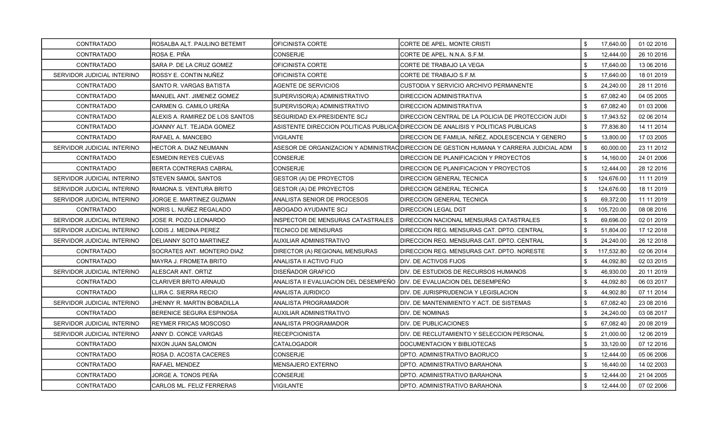| CONTRATADO                 | ROSALBA ALT. PAULINO BETEMIT    | OFICINISTA CORTE                                                      | CORTE DE APEL. MONTE CRISTI                                                            | \$<br>17,640.00  | 01 02 2016 |
|----------------------------|---------------------------------|-----------------------------------------------------------------------|----------------------------------------------------------------------------------------|------------------|------------|
| CONTRATADO                 | ROSA E. PIÑA                    | <b>CONSERJE</b>                                                       | CORTE DE APEL. N.N.A. S.F.M.                                                           | \$<br>12,444.00  | 26 10 2016 |
| CONTRATADO                 | SARA P. DE LA CRUZ GOMEZ        | OFICINISTA CORTE                                                      | CORTE DE TRABAJO LA VEGA                                                               | \$<br>17.640.00  | 13 06 2016 |
| SERVIDOR JUDICIAL INTERINO | ROSSY E. CONTIN NUÑEZ           | OFICINISTA CORTE                                                      | CORTE DE TRABAJO S.F.M.                                                                | \$<br>17,640.00  | 18 01 2019 |
| <b>CONTRATADO</b>          | SANTO R. VARGAS BATISTA         | <b>AGENTE DE SERVICIOS</b>                                            | CUSTODIA Y SERVICIO ARCHIVO PERMANENTE                                                 | \$<br>24,240.00  | 28 11 2016 |
| CONTRATADO                 | MANUEL ANT. JIMENEZ GOMEZ       | SUPERVISOR(A) ADMINISTRATIVO                                          | DIRECCION ADMINISTRATIVA                                                               | \$<br>67,082.40  | 04 05 2005 |
| <b>CONTRATADO</b>          | CARMEN G. CAMILO UREÑA          | SUPERVISOR(A) ADMINISTRATIVO                                          | <b>DIRECCION ADMINISTRATIVA</b>                                                        | \$<br>67,082.40  | 01 03 2006 |
| <b>CONTRATADO</b>          | ALEXIS A. RAMIREZ DE LOS SANTOS | SEGURIDAD EX-PRESIDENTE SCJ                                           | DIRECCION CENTRAL DE LA POLICIA DE PROTECCION JUDI                                     | \$<br>17,943.52  | 02 06 2014 |
| <b>CONTRATADO</b>          | JOANNY ALT. TEJADA GOMEZ        |                                                                       | ASISTENTE DIRECCION POLITICAS PUBLICA¶DIRECCION DE ANALISIS Y POLITICAS PUBLICAS       | \$<br>77,836.80  | 14 11 2014 |
| CONTRATADO                 | RAFAEL A. MANCEBO               | <b>VIGILANTE</b>                                                      | DIRECCION DE FAMILIA, NIÑEZ, ADOLESCENCIA Y GENERO                                     | \$<br>13,800.00  | 17 03 2005 |
| SERVIDOR JUDICIAL INTERINO | HECTOR A. DIAZ NEUMANN          |                                                                       | ASESOR DE ORGANIZACION Y ADMINISTRAQDIRECCION DE GESTION HUMANA Y CARRERA JUDICIAL ADM | \$<br>60,000.00  | 23 11 2012 |
| CONTRATADO                 | <b>ESMEDIN REYES CUEVAS</b>     | CONSERJE                                                              | DIRECCION DE PLANIFICACION Y PROYECTOS                                                 | \$<br>14,160.00  | 24 01 2006 |
| <b>CONTRATADO</b>          | BERTA CONTRERAS CABRAL          | <b>CONSERJE</b>                                                       | DIRECCION DE PLANIFICACION Y PROYECTOS                                                 | \$<br>12,444.00  | 28 12 2016 |
| SERVIDOR JUDICIAL INTERINO | <b>ISTEVEN SAMOL SANTOS</b>     | GESTOR (A) DE PROYECTOS                                               | <b>DIRECCION GENERAL TECNICA</b>                                                       | \$<br>124,676.00 | 11 11 2019 |
| SERVIDOR JUDICIAL INTERINO | RAMONA S. VENTURA BRITO         | <b>GESTOR (A) DE PROYECTOS</b>                                        | <b>DIRECCION GENERAL TECNICA</b>                                                       | \$<br>124,676.00 | 18 11 2019 |
| SERVIDOR JUDICIAL INTERINO | JORGE E. MARTINEZ GUZMAN        | ANALISTA SENIOR DE PROCESOS                                           | DIRECCION GENERAL TECNICA                                                              | \$<br>69,372.00  | 11 11 2019 |
| CONTRATADO                 | NORIS L. NUÑEZ REGALADO         | ABOGADO AYUDANTE SCJ                                                  | <b>DIRECCION LEGAL DGT</b>                                                             | \$<br>105,720.00 | 08 08 2016 |
| SERVIDOR JUDICIAL INTERINO | JOSE R. POZO LEONARDO           | <b>INSPECTOR DE MENSURAS CATASTRALES</b>                              | DIRECCION NACIONAL MENSURAS CATASTRALES                                                | \$<br>69,696.00  | 02 01 2019 |
| SERVIDOR JUDICIAL INTERINO | LODIS J. MEDINA PEREZ           | TECNICO DE MENSURAS                                                   | DIRECCION REG. MENSURAS CAT. DPTO. CENTRAL                                             | \$<br>51,804.00  | 17 12 2018 |
| SERVIDOR JUDICIAL INTERINO | IDELIANNY SOTO MARTINEZ         | AUXILIAR ADMINISTRATIVO                                               | DIRECCION REG. MENSURAS CAT. DPTO. CENTRAL                                             | \$<br>24,240.00  | 26 12 2018 |
| CONTRATADO                 | SOCRATES ANT. MONTERO DIAZ      | DIRECTOR (A) REGIONAL MENSURAS                                        | DIRECCION REG. MENSURAS CAT. DPTO. NORESTE                                             | \$<br>117,532.80 | 02 06 2014 |
| <b>CONTRATADO</b>          | <b>MAYRA J. FROMETA BRITO</b>   | ANALISTA II ACTIVO FIJO                                               | DIV. DE ACTIVOS FIJOS                                                                  | \$<br>44,092.80  | 02 03 2015 |
| SERVIDOR JUDICIAL INTERINO | ALESCAR ANT. ORTIZ              | DISEÑADOR GRAFICO                                                     | DIV. DE ESTUDIOS DE RECURSOS HUMANOS                                                   | \$<br>46,930.00  | 20 11 2019 |
| <b>CONTRATADO</b>          | <b>CLARIVER BRITO ARNAUD</b>    | ANALISTA II EVALUACION DEL DESEMPEÑO DIV. DE EVALUACION DEL DESEMPEÑO |                                                                                        | \$<br>44,092.80  | 06 03 2017 |
| <b>CONTRATADO</b>          | LLIRA C. SIERRA RECIO           | ANALISTA JURIDICO                                                     | DIV. DE JURISPRUDENCIA Y LEGISLACION                                                   | \$<br>44,902.80  | 07 11 2014 |
| SERVIDOR JUDICIAL INTERINO | JHENNY R. MARTIN BOBADILLA      | ANALISTA PROGRAMADOR                                                  | DIV. DE MANTENIMIENTO Y ACT. DE SISTEMAS                                               | \$<br>67,082.40  | 23 08 2016 |
| <b>CONTRATADO</b>          | BERENICE SEGURA ESPINOSA        | AUXILIAR ADMINISTRATIVO                                               | DIV. DE NOMINAS                                                                        | \$<br>24,240.00  | 03 08 2017 |
| SERVIDOR JUDICIAL INTERINO | <b>REYMER FRICAS MOSCOSO</b>    | ANALISTA PROGRAMADOR                                                  | DIV. DE PUBLICACIONES                                                                  | \$<br>67,082.40  | 20 08 2019 |
| SERVIDOR JUDICIAL INTERINO | ANNY D. CONCE VARGAS            | <b>RECEPCIONISTA</b>                                                  | DIV. DE RECLUTAMIENTO Y SELECCION PERSONAL                                             | \$<br>21,000.00  | 12 06 2019 |
| <b>CONTRATADO</b>          | NIXON JUAN SALOMON              | <b>CATALOGADOR</b>                                                    | DOCUMENTACION Y BIBLIOTECAS                                                            | \$<br>33,120.00  | 07 12 2016 |
| <b>CONTRATADO</b>          | ROSA D. ACOSTA CACERES          | <b>CONSERJE</b>                                                       | DPTO. ADMINISTRATIVO BAORUCO                                                           | \$<br>12,444.00  | 05 06 2006 |
| CONTRATADO                 | RAFAEL MENDEZ                   | <b>MENSAJERO EXTERNO</b>                                              | DPTO. ADMINISTRATIVO BARAHONA                                                          | \$<br>16,440.00  | 14 02 2003 |
| <b>CONTRATADO</b>          | JORGE A. TONOS PEÑA             | CONSERJE                                                              | DPTO. ADMINISTRATIVO BARAHONA                                                          | \$<br>12,444.00  | 21 04 2005 |
| CONTRATADO                 | CARLOS ML. FELIZ FERRERAS       | <b>VIGILANTE</b>                                                      | DPTO. ADMINISTRATIVO BARAHONA                                                          | \$<br>12,444.00  | 07 02 2006 |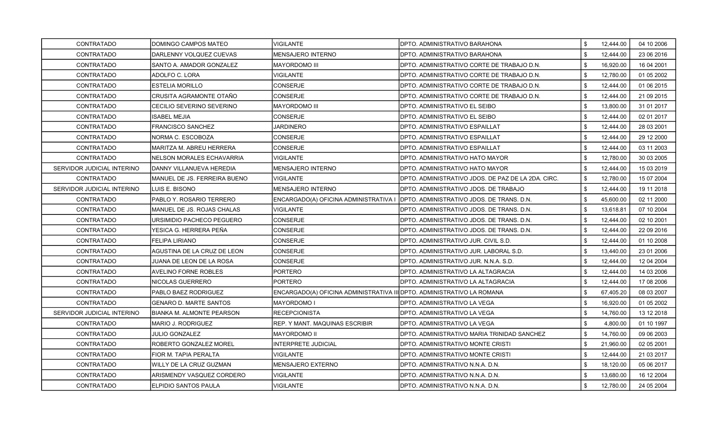| CONTRATADO                 | DOMINGO CAMPOS MATEO             | VIGILANTE                                                              | IDPTO. ADMINISTRATIVO BARAHONA                     | \$  | 12,444.00 | 04 10 2006 |
|----------------------------|----------------------------------|------------------------------------------------------------------------|----------------------------------------------------|-----|-----------|------------|
| CONTRATADO                 | DARLENNY VOLQUEZ CUEVAS          | <b>MENSAJERO INTERNO</b>                                               | DPTO. ADMINISTRATIVO BARAHONA                      | \$. | 12,444.00 | 23 06 2016 |
| CONTRATADO                 | SANTO A. AMADOR GONZALEZ         | MAYORDOMO III                                                          | DPTO. ADMINISTRATIVO CORTE DE TRABAJO D.N.         | \$  | 16,920.00 | 16 04 2001 |
| CONTRATADO                 | ADOLFO C. LORA                   | VIGILANTE                                                              | DPTO. ADMINISTRATIVO CORTE DE TRABAJO D.N.         | \$  | 12,780.00 | 01 05 2002 |
| <b>CONTRATADO</b>          | ESTELIA MORILLO                  | CONSERJE                                                               | DPTO. ADMINISTRATIVO CORTE DE TRABAJO D.N.         | \$  | 12,444.00 | 01 06 2015 |
| <b>CONTRATADO</b>          | CRUSITA AGRAMONTE OTAÑO          | CONSERJE                                                               | DPTO. ADMINISTRATIVO CORTE DE TRABAJO D.N.         | \$  | 12,444.00 | 21 09 2015 |
| CONTRATADO                 | CECILIO SEVERINO SEVERINO        | <b>MAYORDOMO III</b>                                                   | DPTO. ADMINISTRATIVO EL SEIBO                      | \$. | 13,800.00 | 31 01 2017 |
| CONTRATADO                 | <b>ISABEL MEJIA</b>              | CONSERJE                                                               | DPTO. ADMINISTRATIVO EL SEIBO                      | \$  | 12,444.00 | 02 01 2017 |
| CONTRATADO                 | FRANCISCO SANCHEZ                | JARDINERO                                                              | DPTO. ADMINISTRATIVO ESPAILLAT                     | \$  | 12,444.00 | 28 03 2001 |
| CONTRATADO                 | NORMA C. ESCOBOZA                | CONSERJE                                                               | DPTO. ADMINISTRATIVO ESPAILLAT                     | \$  | 12,444.00 | 29 12 2000 |
| CONTRATADO                 | MARITZA M. ABREU HERRERA         | CONSERJE                                                               | DPTO. ADMINISTRATIVO ESPAILLAT                     | \$  | 12,444.00 | 03 11 2003 |
| CONTRATADO                 | NELSON MORALES ECHAVARRIA        | VIGILANTE                                                              | DPTO. ADMINISTRATIVO HATO MAYOR                    | \$  | 12,780.00 | 30 03 2005 |
| SERVIDOR JUDICIAL INTERINO | DANNY VILLANUEVA HEREDIA         | MENSAJERO INTERNO                                                      | IDPTO. ADMINISTRATIVO HATO MAYOR                   | \$  | 12,444.00 | 15 03 2019 |
| CONTRATADO                 | MANUEL DE JS. FERREIRA BUENO     | <b>VIGILANTE</b>                                                       | DPTO. ADMINISTRATIVO JDOS. DE PAZ DE LA 2DA. CIRC. | \$  | 12,780.00 | 15 07 2004 |
| SERVIDOR JUDICIAL INTERINO | LUIS E. BISONO                   | <b>MENSAJERO INTERNO</b>                                               | DPTO. ADMINISTRATIVO JDOS. DE TRABAJO              | \$  | 12,444.00 | 19 11 2018 |
| <b>CONTRATADO</b>          | PABLO Y. ROSARIO TERRERO         | ENCARGADO(A) OFICINA ADMINISTRATIVA I                                  | <b>IDPTO. ADMINISTRATIVO JDOS. DE TRANS. D.N.</b>  | \$  | 45,600.00 | 02 11 2000 |
| CONTRATADO                 | MANUEL DE JS. ROJAS CHALAS       | <b>VIGILANTE</b>                                                       | DPTO. ADMINISTRATIVO JDOS. DE TRANS. D.N.          | \$  | 13,618.81 | 07 10 2004 |
| <b>CONTRATADO</b>          | URSIMIDIO PACHECO PEGUERO        | CONSERJE                                                               | IDPTO. ADMINISTRATIVO JDOS. DE TRANS. D.N.         | \$. | 12,444.00 | 02 10 2001 |
| CONTRATADO                 | YESICA G. HERRERA PEÑA           | CONSERJE                                                               | DPTO. ADMINISTRATIVO JDOS. DE TRANS. D.N.          | \$  | 12,444.00 | 22 09 2016 |
| <b>CONTRATADO</b>          | <b>FELIPA LIRIANO</b>            | CONSERJE                                                               | DPTO. ADMINISTRATIVO JUR. CIVIL S.D.               | \$  | 12,444.00 | 01 10 2008 |
| CONTRATADO                 | AGUSTINA DE LA CRUZ DE LEON      | CONSERJE                                                               | DPTO. ADMINISTRATIVO JUR. LABORAL S.D.             | \$  | 13,440.00 | 23 01 2006 |
| CONTRATADO                 | JUANA DE LEON DE LA ROSA         | CONSERJE                                                               | DPTO. ADMINISTRATIVO JUR. N.N.A. S.D.              | \$  | 12,444.00 | 12 04 2004 |
| <b>CONTRATADO</b>          | AVELINO FORNE ROBLES             | <b>PORTERO</b>                                                         | DPTO. ADMINISTRATIVO LA ALTAGRACIA                 | \$  | 12,444.00 | 14 03 2006 |
| CONTRATADO                 | NICOLAS GUERRERO                 | PORTERO                                                                | IDPTO. ADMINISTRATIVO LA ALTAGRACIA                | \$  | 12,444.00 | 17 08 2006 |
| <b>CONTRATADO</b>          | PABLO BAEZ RODRIGUEZ             | ENCARGADO(A) OFICINA ADMINISTRATIVA III DPTO. ADMINISTRATIVO LA ROMANA |                                                    | \$  | 67,405.20 | 08 03 2007 |
| CONTRATADO                 | <b>GENARO D. MARTE SANTOS</b>    | MAYORDOMO I                                                            | DPTO. ADMINISTRATIVO LA VEGA                       | \$  | 16,920.00 | 01 05 2002 |
| SERVIDOR JUDICIAL INTERINO | <b>BIANKA M. ALMONTE PEARSON</b> | RECEPCIONISTA                                                          | <b>I</b> DPTO. ADMINISTRATIVO LA VEGA              | \$  | 14,760.00 | 13 12 2018 |
| CONTRATADO                 | MARIO J. RODRIGUEZ               | REP. Y MANT. MAQUINAS ESCRIBIR                                         | DPTO. ADMINISTRATIVO LA VEGA                       | \$  | 4,800.00  | 01 10 1997 |
| CONTRATADO                 | <b>JULIO GONZALEZ</b>            | MAYORDOMO II                                                           | DPTO. ADMINISTRATIVO MARIA TRINIDAD SANCHEZ        | \$  | 14,760.00 | 09 06 2003 |
| <b>CONTRATADO</b>          | ROBERTO GONZALEZ MOREL           | INTERPRETE JUDICIAL                                                    | DPTO. ADMINISTRATIVO MONTE CRISTI                  | \$  | 21,960.00 | 02 05 2001 |
| CONTRATADO                 | FIOR M. TAPIA PERALTA            | VIGILANTE                                                              | DPTO. ADMINISTRATIVO MONTE CRISTI                  | \$  | 12,444.00 | 21 03 2017 |
| CONTRATADO                 | WILLY DE LA CRUZ GUZMAN          | MENSAJERO EXTERNO                                                      | DPTO. ADMINISTRATIVO N.N.A. D.N.                   | \$  | 18,120.00 | 05 06 2017 |
| CONTRATADO                 | ARISMENDY VASQUEZ CORDERO        | <b>VIGILANTE</b>                                                       | DPTO. ADMINISTRATIVO N.N.A. D.N.                   | \$  | 13,680.00 | 16 12 2004 |
| CONTRATADO                 | ELPIDIO SANTOS PAULA             | <b>VIGILANTE</b>                                                       | <b>IDPTO. ADMINISTRATIVO N.N.A. D.N.</b>           | \$  | 12,780.00 | 24 05 2004 |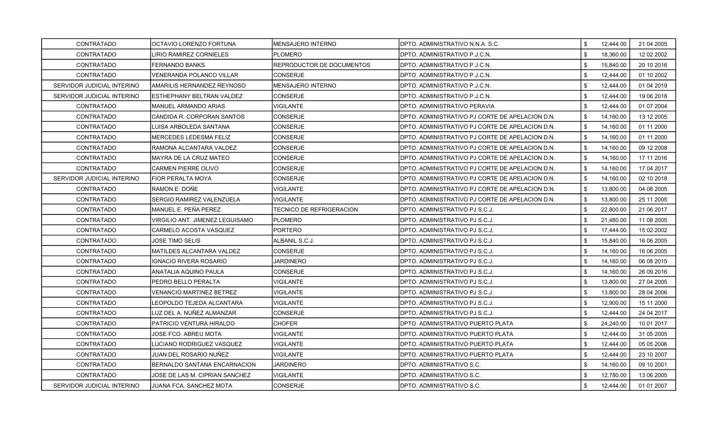| <b>CONTRATADO</b>          | OCTAVIO LORENZO FORTUNA         | MENSAJERO INTERNO         | IDPTO. ADMINISTRATIVO N.N.A. S.C.                | \$<br>12.444.00 | 21 04 2005 |
|----------------------------|---------------------------------|---------------------------|--------------------------------------------------|-----------------|------------|
| <b>CONTRATADO</b>          | LIRIO RAMIREZ CORNIELES         | <b>PLOMERO</b>            | IDPTO. ADMINISTRATIVO P.J.C.N.                   | \$<br>18,360.00 | 12 02 2002 |
| <b>CONTRATADO</b>          | <b>FERNANDO BANKS</b>           | REPRODUCTOR DE DOCUMENTOS | IDPTO. ADMINISTRATIVO P.J.C.N.                   | \$<br>15,840.00 | 20 10 2016 |
| CONTRATADO                 | VENERANDA POLANCO VILLAR        | CONSERJE                  | DPTO. ADMINISTRATIVO P.J.C.N.                    | \$<br>12,444.00 | 01 10 2002 |
| SERVIDOR JUDICIAL INTERINO | AMARILIS HERNANDEZ REYNOSO      | MENSAJERO INTERNO         | DPTO. ADMINISTRATIVO P.J.C.N.                    | \$<br>12,444.00 | 01 04 2019 |
| SERVIDOR JUDICIAL INTERINO | ESTHEPHANY BELTRAN VALDEZ       | CONSERJE                  | DPTO. ADMINISTRATIVO P.J.C.N.                    | \$<br>12,444.00 | 19 06 2018 |
| <b>CONTRATADO</b>          | MANUEL ARMANDO ARIAS            | VIGILANTE                 | IDPTO. ADMINISTRATIVO PERAVIA                    | \$<br>12,444.00 | 01 07 2004 |
| <b>CONTRATADO</b>          | CANDIDA R. CORPORAN SANTOS      | CONSERJE                  | DPTO. ADMINISTRATIVO PJ CORTE DE APELACION D.N.  | \$<br>14,160.00 | 13 12 2005 |
| <b>CONTRATADO</b>          | LUISA ARBOLEDA SANTANA          | CONSERJE                  | IDPTO. ADMINISTRATIVO PJ CORTE DE APELACION D.N. | \$<br>14,160.00 | 01 11 2000 |
| CONTRATADO                 | MERCEDES LEDESMA FELIZ          | CONSERJE                  | IDPTO. ADMINISTRATIVO PJ CORTE DE APELACION D.N. | \$<br>14,160.00 | 01 11 2000 |
| <b>CONTRATADO</b>          | RAMONA ALCANTARA VALDEZ         | CONSERJE                  | IDPTO. ADMINISTRATIVO PJ CORTE DE APELACION D.N. | \$<br>14,160.00 | 09 12 2008 |
| CONTRATADO                 | MAYRA DE LA CRUZ MATEO          | <b>CONSERJE</b>           | DPTO. ADMINISTRATIVO PJ CORTE DE APELACION D.N.  | \$<br>14,160.00 | 17 11 2016 |
| <b>CONTRATADO</b>          | <b>CARMEN PIERRE OLIVO</b>      | CONSERJE                  | DPTO. ADMINISTRATIVO PJ CORTE DE APELACION D.N.  | \$<br>14,160.00 | 17 04 2017 |
| SERVIDOR JUDICIAL INTERINO | FIOR PERALTA MOYA               | CONSERJE                  | DPTO. ADMINISTRATIVO PJ CORTE DE APELACION D.N.  | \$<br>14,160.00 | 02 10 2018 |
| <b>CONTRATADO</b>          | RAMON E. DOÑE                   | VIGILANTE                 | IDPTO. ADMINISTRATIVO PJ CORTE DE APELACION D.N. | \$<br>13.800.00 | 04 08 2005 |
| <b>CONTRATADO</b>          | SERGIO RAMIREZ VALENZUELA       | VIGILANTE                 | DPTO. ADMINISTRATIVO PJ CORTE DE APELACION D.N.  | \$<br>13,800.00 | 25 11 2005 |
| <b>CONTRATADO</b>          | MANUEL E. PEÑA PEREZ            | TECNICO DE REFRIGERACION  | IDPTO. ADMINISTRATIVO PJ S.C.J.                  | \$<br>22,800.00 | 21 06 2017 |
| <b>CONTRATADO</b>          | VIRGILIO ANT. JIMENEZ LEGUISAMO | PLOMERO                   | DPTO. ADMINISTRATIVO PJ S.C.J.                   | \$<br>21,480.00 | 11 08 2005 |
| <b>CONTRATADO</b>          | <b>CARMELO ACOSTA VASQUEZ</b>   | PORTERO                   | DPTO. ADMINISTRATIVO PJ S.C.J.                   | \$<br>17,444.00 | 15 02 2002 |
| CONTRATADO                 | JOSE TIMO SELIS                 | ALBANIL S.C.J.            | IDPTO. ADMINISTRATIVO PJ S.C.J.                  | \$<br>15,840.00 | 16 06 2005 |
| <b>CONTRATADO</b>          | MATILDES ALCANTARA VALDEZ       | CONSERJE                  | DPTO. ADMINISTRATIVO PJ S.C.J.                   | \$<br>14,160.00 | 16 06 2005 |
| CONTRATADO                 | IGNACIO RIVERA ROSARIO          | JARDINERO                 | DPTO. ADMINISTRATIVO PJ S.C.J.                   | \$<br>14,160.00 | 06 08 2015 |
| <b>CONTRATADO</b>          | ANATALIA AQUINO PAULA           | CONSERJE                  | DPTO. ADMINISTRATIVO PJ S.C.J.                   | \$<br>14,160.00 | 26 09 2016 |
| CONTRATADO                 | PEDRO BELLO PERALTA             | <b>VIGILANTE</b>          | DPTO. ADMINISTRATIVO PJ S.C.J.                   | \$<br>13,800.00 | 27 04 2005 |
| <b>CONTRATADO</b>          | VENANCIO MARTINEZ BETREZ        | VIGILANTE                 | IDPTO. ADMINISTRATIVO PJ S.C.J.                  | \$<br>13.800.00 | 28 04 2006 |
| <b>CONTRATADO</b>          | LEOPOLDO TEJEDA ALCANTARA       | VIGILANTE                 | DPTO. ADMINISTRATIVO PJ S.C.J.                   | \$<br>12,900.00 | 15 11 2000 |
| <b>CONTRATADO</b>          | LUZ DEL A. NUÑEZ ALMANZAR       | CONSERJE                  | DPTO. ADMINISTRATIVO PJ S.C.J.                   | \$<br>12,444.00 | 24 04 2017 |
| CONTRATADO                 | PATRICIO VENTURA HIRALDO        | <b>CHOFER</b>             | <b>DPTO. ADMINISTRATIVO PUERTO PLATA</b>         | \$<br>24,240.00 | 10 01 2017 |
| CONTRATADO                 | JOSE FCO. ABREU MOTA            | VIGILANTE                 | IDPTO. ADMINISTRATIVO PUERTO PLATA               | \$<br>12,444.00 | 31 05 2005 |
| <b>CONTRATADO</b>          | LUCIANO RODRIGUEZ VASQUEZ       | VIGILANTE                 | <b>DPTO. ADMINISTRATIVO PUERTO PLATA</b>         | \$<br>12,444.00 | 05 05 2006 |
| <b>CONTRATADO</b>          | JUAN DEL ROSARIO NUÑEZ          | VIGILANTE                 | IDPTO. ADMINISTRATIVO PUERTO PLATA               | \$<br>12,444.00 | 23 10 2007 |
| CONTRATADO                 | BERNALDO SANTANA ENCARNACION    | JARDINERO                 | DPTO. ADMINISTRATIVO S.C.                        | \$<br>14,160.00 | 09 10 2001 |
| CONTRATADO                 | JOSE DE LAS M. CIPRIAN SANCHEZ  | VIGILANTE                 | IDPTO. ADMINISTRATIVO S.C.                       | \$<br>12,780.00 | 13 06 2005 |
| SERVIDOR JUDICIAL INTERINO | JUANA FCA. SANCHEZ MOTA         | <b>CONSERJE</b>           | DPTO. ADMINISTRATIVO S.C.                        | \$<br>12,444.00 | 01 01 2007 |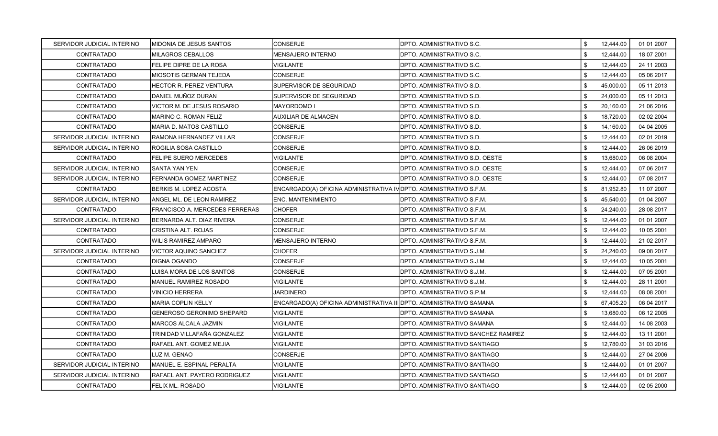| SERVIDOR JUDICIAL INTERINO | MIDONIA DE JESUS SANTOS        | CONSERJE                                                            | <b>IDPTO. ADMINISTRATIVO S.C.</b>     | \$  | 12,444.00 | 01 01 2007 |
|----------------------------|--------------------------------|---------------------------------------------------------------------|---------------------------------------|-----|-----------|------------|
| <b>CONTRATADO</b>          | MILAGROS CEBALLOS              | <b>MENSAJERO INTERNO</b>                                            | DPTO. ADMINISTRATIVO S.C.             | \$. | 12,444.00 | 18 07 2001 |
| CONTRATADO                 | FELIPE DIPRE DE LA ROSA        | VIGILANTE                                                           | <b>DPTO. ADMINISTRATIVO S.C.</b>      | \$  | 12,444.00 | 24 11 2003 |
| <b>CONTRATADO</b>          | MIOSOTIS GERMAN TEJEDA         | <b>CONSERJE</b>                                                     | DPTO. ADMINISTRATIVO S.C.             | \$  | 12,444.00 | 05 06 2017 |
| CONTRATADO                 | HECTOR R. PEREZ VENTURA        | SUPERVISOR DE SEGURIDAD                                             | DPTO. ADMINISTRATIVO S.D.             | \$  | 45,000.00 | 05 11 2013 |
| <b>CONTRATADO</b>          | DANIEL MUÑOZ DURAN             | SUPERVISOR DE SEGURIDAD                                             | DPTO. ADMINISTRATIVO S.D.             | \$  | 24,000.00 | 05 11 2013 |
| CONTRATADO                 | VICTOR M. DE JESUS ROSARIO     | MAYORDOMO I                                                         | IDPTO. ADMINISTRATIVO S.D.            | \$. | 20,160.00 | 21 06 2016 |
| CONTRATADO                 | MARINO C. ROMAN FELIZ          | <b>AUXILIAR DE ALMACEN</b>                                          | IDPTO. ADMINISTRATIVO S.D.            | \$  | 18,720.00 | 02 02 2004 |
| CONTRATADO                 | MARIA D. MATOS CASTILLO        | <b>CONSERJE</b>                                                     | DPTO. ADMINISTRATIVO S.D.             | \$  | 14,160.00 | 04 04 2005 |
| SERVIDOR JUDICIAL INTERINO | RAMONA HERNANDEZ VILLAR        | CONSERJE                                                            | IDPTO. ADMINISTRATIVO S.D.            | \$  | 12,444.00 | 02 01 2019 |
| SERVIDOR JUDICIAL INTERINO | ROGILIA SOSA CASTILLO          | CONSERJE                                                            | DPTO. ADMINISTRATIVO S.D.             | \$  | 12,444.00 | 26 06 2019 |
| CONTRATADO                 | FELIPE SUERO MERCEDES          | VIGILANTE                                                           | IDPTO. ADMINISTRATIVO S.D. OESTE      | \$  | 13,680.00 | 06 08 2004 |
| SERVIDOR JUDICIAL INTERINO | SANTA YAN YEN                  | <b>CONSERJE</b>                                                     | IDPTO. ADMINISTRATIVO S.D. OESTE      | \$  | 12,444.00 | 07 06 2017 |
| SERVIDOR JUDICIAL INTERINO | FERNANDA GOMEZ MARTINEZ        | <b>CONSERJE</b>                                                     | IDPTO. ADMINISTRATIVO S.D. OESTE      | \$  | 12,444.00 | 07 08 2017 |
| CONTRATADO                 | BERKIS M. LOPEZ ACOSTA         | ENCARGADO(A) OFICINA ADMINISTRATIVA IV DPTO. ADMINISTRATIVO S.F.M.  |                                       | \$  | 81,952.80 | 11 07 2007 |
| SERVIDOR JUDICIAL INTERINO | ANGEL ML. DE LEON RAMIREZ      | ENC. MANTENIMIENTO                                                  | IDPTO. ADMINISTRATIVO S.F.M.          | \$  | 45,540.00 | 01 04 2007 |
| <b>CONTRATADO</b>          | FRANCISCO A. MERCEDES FERRERAS | <b>CHOFER</b>                                                       | DPTO. ADMINISTRATIVO S.F.M.           | \$  | 24,240.00 | 28 08 2017 |
| SERVIDOR JUDICIAL INTERINO | BERNARDA ALT. DIAZ RIVERA      | CONSERJE                                                            | IDPTO. ADMINISTRATIVO S.F.M.          | \$. | 12,444.00 | 01 01 2007 |
| <b>CONTRATADO</b>          | CRISTINA ALT. ROJAS            | <b>CONSERJE</b>                                                     | DPTO. ADMINISTRATIVO S.F.M.           | \$  | 12,444.00 | 10 05 2001 |
| <b>CONTRATADO</b>          | WILIS RAMIREZ AMPARO           | MENSAJERO INTERNO                                                   | IDPTO. ADMINISTRATIVO S.F.M.          | \$  | 12,444.00 | 21 02 2017 |
| SERVIDOR JUDICIAL INTERINO | VICTOR AQUINO SANCHEZ          | CHOFER                                                              | DPTO. ADMINISTRATIVO S.J.M.           | \$  | 24,240.00 | 09 08 2017 |
| <b>CONTRATADO</b>          | DIGNA OGANDO                   | <b>CONSERJE</b>                                                     | DPTO. ADMINISTRATIVO S.J.M.           | \$. | 12,444.00 | 10 05 2001 |
| CONTRATADO                 | LUISA MORA DE LOS SANTOS       | CONSERJE                                                            | DPTO. ADMINISTRATIVO S.J.M.           | \$  | 12,444.00 | 07 05 2001 |
| <b>CONTRATADO</b>          | <b>MANUEL RAMIREZ ROSADO</b>   | VIGILANTE                                                           | IDPTO. ADMINISTRATIVO S.J.M.          | \$  | 12,444.00 | 28 11 2001 |
| <b>CONTRATADO</b>          | VINICIO HERRERA                | <b>JARDINERO</b>                                                    | IDPTO. ADMINISTRATIVO S.P.M.          | \$  | 12,444.00 | 08 08 2001 |
| CONTRATADO                 | MARIA COPLIN KELLY             | ENCARGADO(A) OFICINA ADMINISTRATIVA III DPTO. ADMINISTRATIVO SAMANA |                                       | \$  | 67,405.20 | 06 04 2017 |
| CONTRATADO                 | GENEROSO GERONIMO SHEPARD      | <b>VIGILANTE</b>                                                    | IDPTO. ADMINISTRATIVO SAMANA          | \$. | 13,680.00 | 06 12 2005 |
| CONTRATADO                 | MARCOS ALCALA JAZMIN           | <b>VIGILANTE</b>                                                    | IDPTO. ADMINISTRATIVO SAMANA          | \$. | 12,444.00 | 14 08 2003 |
| CONTRATADO                 | TRINIDAD VILLAFAÑA GONZALEZ    | <b>VIGILANTE</b>                                                    | IDPTO. ADMINISTRATIVO SANCHEZ RAMIREZ | \$  | 12,444.00 | 13 11 2001 |
| CONTRATADO                 | RAFAEL ANT. GOMEZ MEJIA        | VIGILANTE                                                           | DPTO. ADMINISTRATIVO SANTIAGO         | \$  | 12,780.00 | 31 03 2016 |
| <b>CONTRATADO</b>          | LUZ M. GENAO                   | CONSERJE                                                            | IDPTO. ADMINISTRATIVO SANTIAGO        | \$  | 12,444.00 | 27 04 2006 |
| SERVIDOR JUDICIAL INTERINO | MANUEL E. ESPINAL PERALTA      | VIGILANTE                                                           | DPTO. ADMINISTRATIVO SANTIAGO         | \$. | 12,444.00 | 01 01 2007 |
| SERVIDOR JUDICIAL INTERINO | RAFAEL ANT. PAYERO RODRIGUEZ   | VIGILANTE                                                           | IDPTO. ADMINISTRATIVO SANTIAGO        | \$. | 12,444.00 | 01 01 2007 |
| CONTRATADO                 | FELIX ML. ROSADO               | <b>VIGILANTE</b>                                                    | <b>DPTO. ADMINISTRATIVO SANTIAGO</b>  | \$  | 12,444.00 | 02 05 2000 |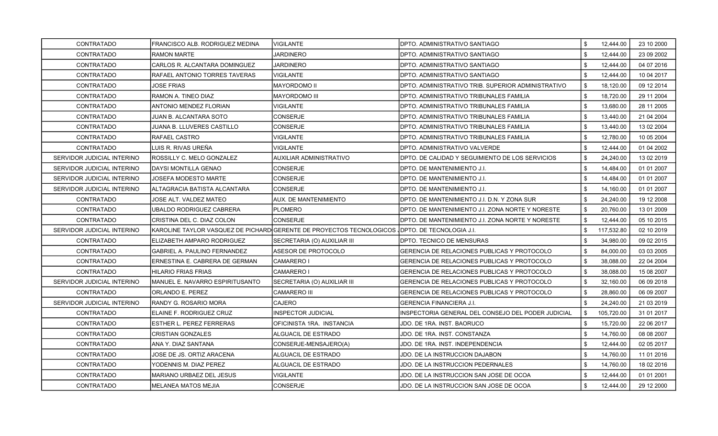| <b>CONTRATADO</b>          | FRANCISCO ALB. RODRIGUEZ MEDINA | VIGILANTE                                                                                      | DPTO. ADMINISTRATIVO SANTIAGO                      | \$<br>12,444.00  | 23 10 2000 |
|----------------------------|---------------------------------|------------------------------------------------------------------------------------------------|----------------------------------------------------|------------------|------------|
| CONTRATADO                 | <b>RAMON MARTE</b>              | <b>JARDINERO</b>                                                                               | DPTO. ADMINISTRATIVO SANTIAGO                      | \$<br>12,444.00  | 23 09 2002 |
| CONTRATADO                 | CARLOS R. ALCANTARA DOMINGUEZ   | <b>JARDINERO</b>                                                                               | DPTO. ADMINISTRATIVO SANTIAGO                      | \$<br>12,444.00  | 04 07 2016 |
| <b>CONTRATADO</b>          | RAFAEL ANTONIO TORRES TAVERAS   | <b>VIGILANTE</b>                                                                               | DPTO. ADMINISTRATIVO SANTIAGO                      | \$<br>12,444.00  | 10 04 2017 |
| CONTRATADO                 | JOSE FRIAS                      | MAYORDOMO II                                                                                   | DPTO. ADMINISTRATIVO TRIB. SUPERIOR ADMINISTRATIVO | \$<br>18,120.00  | 09 12 2014 |
| <b>CONTRATADO</b>          | RAMON A. TINEO DIAZ             | MAYORDOMO III                                                                                  | DPTO. ADMINISTRATIVO TRIBUNALES FAMILIA            | \$<br>18,720.00  | 29 11 2004 |
| <b>CONTRATADO</b>          | ANTONIO MENDEZ FLORIAN          | VIGILANTE                                                                                      | DPTO. ADMINISTRATIVO TRIBUNALES FAMILIA            | \$<br>13,680.00  | 28 11 2005 |
| CONTRATADO                 | JUAN B. ALCANTARA SOTO          | <b>CONSERJE</b>                                                                                | DPTO. ADMINISTRATIVO TRIBUNALES FAMILIA            | \$<br>13,440.00  | 21 04 2004 |
| CONTRATADO                 | JUANA B. LLUVERES CASTILLO      | <b>CONSERJE</b>                                                                                | DPTO. ADMINISTRATIVO TRIBUNALES FAMILIA            | \$<br>13,440.00  | 13 02 2004 |
| <b>CONTRATADO</b>          | RAFAEL CASTRO                   | VIGILANTE                                                                                      | DPTO. ADMINISTRATIVO TRIBUNALES FAMILIA            | \$<br>12,780.00  | 10 05 2004 |
| CONTRATADO                 | LUIS R. RIVAS UREÑA             | VIGILANTE                                                                                      | DPTO. ADMINISTRATIVO VALVERDE                      | \$<br>12,444.00  | 01 04 2002 |
| SERVIDOR JUDICIAL INTERINO | ROSSILLY C. MELO GONZALEZ       | AUXILIAR ADMINISTRATIVO                                                                        | DPTO. DE CALIDAD Y SEGUIMIENTO DE LOS SERVICIOS    | \$<br>24,240.00  | 13 02 2019 |
| SERVIDOR JUDICIAL INTERINO | <b>DAYSI MONTILLA GENAO</b>     | CONSERJE                                                                                       | DPTO. DE MANTENIMIENTO J.I.                        | \$<br>14,484.00  | 01 01 2007 |
| SERVIDOR JUDICIAL INTERINO | <b>JOSEFA MODESTO MARTE</b>     | CONSERJE                                                                                       | DPTO. DE MANTENIMIENTO J.I.                        | \$<br>14,484.00  | 01 01 2007 |
| SERVIDOR JUDICIAL INTERINO | ALTAGRACIA BATISTA ALCANTARA    | <b>CONSERJE</b>                                                                                | DPTO. DE MANTENIMIENTO J.I.                        | \$<br>14,160.00  | 01 01 2007 |
| <b>CONTRATADO</b>          | JOSE ALT. VALDEZ MATEO          | AUX. DE MANTENIMIENTO                                                                          | DPTO. DE MANTENIMIENTO J.I. D.N. Y ZONA SUR        | \$<br>24,240.00  | 19 12 2008 |
| <b>CONTRATADO</b>          | UBALDO RODRIGUEZ CABRERA        | PLOMERO                                                                                        | DPTO. DE MANTENIMIENTO J.I. ZONA NORTE Y NORESTE   | \$<br>20,760.00  | 13 01 2009 |
| CONTRATADO                 | CRISTINA DEL C. DIAZ COLON      | <b>CONSERJE</b>                                                                                | DPTO. DE MANTENIMIENTO J.I. ZONA NORTE Y NORESTE   | \$<br>12,444.00  | 05 10 2015 |
| SERVIDOR JUDICIAL INTERINO |                                 | KAROLINE TAYLOR VASQUEZ DE PICHARD GERENTE DE PROYECTOS TECNOLOGICOS (DPTO. DE TECNOLOGIA J.I. |                                                    | \$<br>117,532.80 | 02 10 2019 |
| CONTRATADO                 | ELIZABETH AMPARO RODRIGUEZ      | SECRETARIA (O) AUXILIAR III                                                                    | DPTO. TECNICO DE MENSURAS                          | \$<br>34,980.00  | 09 02 2015 |
| <b>CONTRATADO</b>          | GABRIEL A. PAULINO FERNANDEZ    | ASESOR DE PROTOCOLO                                                                            | GERENCIA DE RELACIONES PUBLICAS Y PROTOCOLO        | \$<br>84,000.00  | 03 03 2005 |
| <b>CONTRATADO</b>          | ERNESTINA E. CABRERA DE GERMAN  | CAMARERO I                                                                                     | GERENCIA DE RELACIONES PUBLICAS Y PROTOCOLO        | \$<br>38,088.00  | 22 04 2004 |
| CONTRATADO                 | HILARIO FRIAS FRIAS             | <b>CAMARERO I</b>                                                                              | GERENCIA DE RELACIONES PUBLICAS Y PROTOCOLO        | \$<br>38,088.00  | 15 08 2007 |
| SERVIDOR JUDICIAL INTERINO | MANUEL E. NAVARRO ESPIRITUSANTO | SECRETARIA (O) AUXILIAR III                                                                    | GERENCIA DE RELACIONES PUBLICAS Y PROTOCOLO        | \$<br>32,160.00  | 06 09 2018 |
| <b>CONTRATADO</b>          | ORLANDO E. PEREZ                | <b>CAMARERO III</b>                                                                            | GERENCIA DE RELACIONES PUBLICAS Y PROTOCOLO        | \$<br>28,860.00  | 06 09 2007 |
| SERVIDOR JUDICIAL INTERINO | RANDY G. ROSARIO MORA           | CAJERO                                                                                         | GERENCIA FINANCIERA J.I.                           | \$<br>24,240.00  | 21 03 2019 |
| <b>CONTRATADO</b>          | ELAINE F. RODRIGUEZ CRUZ        | <b>INSPECTOR JUDICIAL</b>                                                                      | INSPECTORIA GENERAL DEL CONSEJO DEL PODER JUDICIAL | \$<br>105,720.00 | 31 01 2017 |
| CONTRATADO                 | <b>ESTHER L. PEREZ FERRERAS</b> | OFICINISTA 1RA. INSTANCIA                                                                      | JDO. DE 1RA. INST. BAORUCO                         | \$<br>15,720.00  | 22 06 2017 |
| CONTRATADO                 | <b>CRISTIAN GONZALES</b>        | ALGUACIL DE ESTRADO                                                                            | JDO. DE 1RA. INST. CONSTANZA                       | \$<br>14,760.00  | 08 08 2007 |
| CONTRATADO                 | ANA Y. DIAZ SANTANA             | CONSERJE-MENSAJERO(A)                                                                          | JDO. DE 1RA. INST. INDEPENDENCIA                   | \$<br>12,444.00  | 02 05 2017 |
| <b>CONTRATADO</b>          | JOSE DE JS. ORTIZ ARACENA       | ALGUACIL DE ESTRADO                                                                            | JDO. DE LA INSTRUCCION DAJABON                     | \$<br>14,760.00  | 11 01 2016 |
| CONTRATADO                 | YODENNIS M. DIAZ PEREZ          | ALGUACIL DE ESTRADO                                                                            | JDO. DE LA INSTRUCCION PEDERNALES                  | \$<br>14,760.00  | 18 02 2016 |
| CONTRATADO                 | MARIANO URBAEZ DEL JESUS        | VIGILANTE                                                                                      | JDO. DE LA INSTRUCCION SAN JOSE DE OCOA            | \$<br>12,444.00  | 01 01 2001 |
| CONTRATADO                 | <b>MELANEA MATOS MEJIA</b>      | CONSERJE                                                                                       | JDO. DE LA INSTRUCCION SAN JOSE DE OCOA            | \$<br>12,444.00  | 29 12 2000 |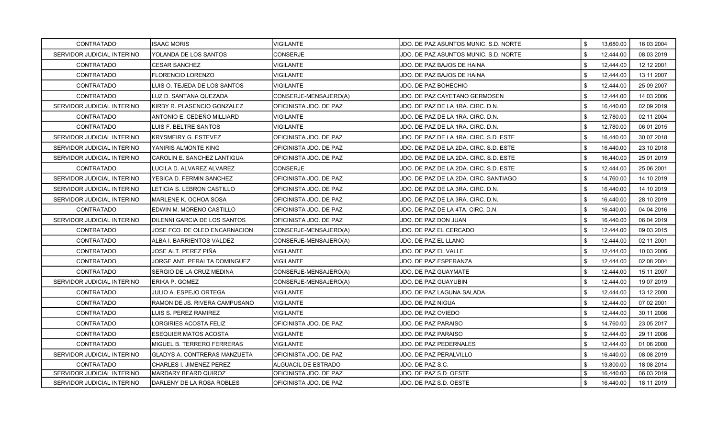| CONTRATADO                 | <b>ISAAC MORIS</b>                  | VIGILANTE              | JDO. DE PAZ ASUNTOS MUNIC. S.D. NORTE  | \$<br>13,680.00 | 16 03 2004 |
|----------------------------|-------------------------------------|------------------------|----------------------------------------|-----------------|------------|
| SERVIDOR JUDICIAL INTERINO | YOLANDA DE LOS SANTOS               | CONSERJE               | JDO. DE PAZ ASUNTOS MUNIC. S.D. NORTE  | \$<br>12,444.00 | 08 03 2019 |
| CONTRATADO                 | <b>CESAR SANCHEZ</b>                | <b>VIGILANTE</b>       | JDO. DE PAZ BAJOS DE HAINA             | \$<br>12,444.00 | 12 12 2001 |
| <b>CONTRATADO</b>          | <b>FLORENCIO LORENZO</b>            | VIGILANTE              | JDO. DE PAZ BAJOS DE HAINA             | \$<br>12,444.00 | 13 11 2007 |
| <b>CONTRATADO</b>          | LUIS O. TEJEDA DE LOS SANTOS        | VIGILANTE              | JDO. DE PAZ BOHECHIO                   | \$<br>12,444.00 | 25 09 2007 |
| CONTRATADO                 | LUZ D. SANTANA QUEZADA              | CONSERJE-MENSAJERO(A)  | JDO. DE PAZ CAYETANO GERMOSEN          | \$<br>12,444.00 | 14 03 2006 |
| SERVIDOR JUDICIAL INTERINO | KIRBY R. PLASENCIO GONZALEZ         | OFICINISTA JDO. DE PAZ | JDO. DE PAZ DE LA 1RA. CIRC. D.N.      | \$<br>16,440.00 | 02 09 2019 |
| CONTRATADO                 | ANTONIO E. CEDEÑO MILLIARD          | VIGILANTE              | JDO. DE PAZ DE LA 1RA. CIRC. D.N.      | \$<br>12,780.00 | 02 11 2004 |
| <b>CONTRATADO</b>          | LUIS F. BELTRE SANTOS               | VIGILANTE              | JDO. DE PAZ DE LA 1RA. CIRC. D.N.      | \$<br>12,780.00 | 06 01 2015 |
| SERVIDOR JUDICIAL INTERINO | <b>KRYSMEIRY G. ESTEVEZ</b>         | OFICINISTA JDO. DE PAZ | JDO. DE PAZ DE LA 1RA. CIRC. S.D. ESTE | \$<br>16,440.00 | 30 07 2018 |
| SERVIDOR JUDICIAL INTERINO | YANIRIS ALMONTE KING                | OFICINISTA JDO. DE PAZ | JDO. DE PAZ DE LA 2DA. CIRC. S.D. ESTE | \$<br>16,440.00 | 23 10 2018 |
| SERVIDOR JUDICIAL INTERINO | CAROLIN E. SANCHEZ LANTIGUA         | OFICINISTA JDO. DE PAZ | JDO. DE PAZ DE LA 2DA. CIRC. S.D. ESTE | \$<br>16,440.00 | 25 01 2019 |
| CONTRATADO                 | LUCILA D. ALVAREZ ALVAREZ           | CONSERJE               | JDO. DE PAZ DE LA 2DA. CIRC. S.D. ESTE | \$<br>12,444.00 | 25 06 2001 |
| SERVIDOR JUDICIAL INTERINO | YESICA D. FERMIN SANCHEZ            | OFICINISTA JDO. DE PAZ | JDO. DE PAZ DE LA 2DA. CIRC. SANTIAGO  | \$<br>14,760.00 | 14 10 2019 |
| SERVIDOR JUDICIAL INTERINO | LETICIA S. LEBRON CASTILLO          | OFICINISTA JDO. DE PAZ | JDO. DE PAZ DE LA 3RA. CIRC. D.N.      | \$<br>16,440.00 | 14 10 2019 |
| SERVIDOR JUDICIAL INTERINO | MARLENE K. OCHOA SOSA               | OFICINISTA JDO. DE PAZ | JDO. DE PAZ DE LA 3RA. CIRC. D.N.      | \$<br>16,440.00 | 28 10 2019 |
| CONTRATADO                 | EDWIN M. MORENO CASTILLO            | OFICINISTA JDO. DE PAZ | JDO. DE PAZ DE LA 4TA. CIRC. D.N.      | \$<br>16,440.00 | 04 04 2016 |
| SERVIDOR JUDICIAL INTERINO | IDILENNI GARCIA DE LOS SANTOS       | OFICINISTA JDO. DE PAZ | JDO. DE PAZ DON JUAN                   | \$<br>16,440.00 | 06 04 2019 |
| CONTRATADO                 | JOSE FCO. DE OLEO ENCARNACION       | CONSERJE-MENSAJERO(A)  | JDO. DE PAZ EL CERCADO                 | \$<br>12,444.00 | 09 03 2015 |
| <b>CONTRATADO</b>          | ALBA I. BARRIENTOS VALDEZ           | CONSERJE-MENSAJERO(A)  | JDO. DE PAZ EL LLANO                   | \$<br>12,444.00 | 02 11 2001 |
| <b>CONTRATADO</b>          | JOSE ALT. PEREZ PIÑA                | VIGILANTE              | JDO. DE PAZ EL VALLE                   | \$<br>12,444.00 | 10 03 2006 |
| CONTRATADO                 | JORGE ANT. PERALTA DOMINGUEZ        | VIGILANTE              | JDO. DE PAZ ESPERANZA                  | \$<br>12,444.00 | 02 08 2004 |
| CONTRATADO                 | SERGIO DE LA CRUZ MEDINA            | CONSERJE-MENSAJERO(A)  | JDO. DE PAZ GUAYMATE                   | \$<br>12,444.00 | 15 11 2007 |
| SERVIDOR JUDICIAL INTERINO | ERIKA P. GOMEZ                      | CONSERJE-MENSAJERO(A)  | JDO. DE PAZ GUAYUBIN                   | \$<br>12,444.00 | 19 07 2019 |
| <b>CONTRATADO</b>          | JULIO A. ESPEJO ORTEGA              | VIGILANTE              | JDO. DE PAZ LAGUNA SALADA              | \$<br>12,444.00 | 13 12 2000 |
| CONTRATADO                 | RAMON DE JS. RIVERA CAMPUSANO       | VIGILANTE              | JDO. DE PAZ NIGUA                      | \$<br>12,444.00 | 07 02 2001 |
| CONTRATADO                 | LUIS S. PEREZ RAMIREZ               | VIGILANTE              | JDO. DE PAZ OVIEDO                     | \$<br>12,444.00 | 30 11 2006 |
| <b>CONTRATADO</b>          | ORGIRIES ACOSTA FELIZ               | OFICINISTA JDO. DE PAZ | JDO. DE PAZ PARAISO                    | \$<br>14,760.00 | 23 05 2017 |
| CONTRATADO                 | ESEQUIER MATOS ACOSTA               | VIGILANTE              | JDO. DE PAZ PARAISO                    | \$<br>12,444.00 | 29 11 2006 |
| CONTRATADO                 | MIGUEL B. TERRERO FERRERAS          | VIGILANTE              | JDO. DE PAZ PEDERNALES                 | \$<br>12,444.00 | 01 06 2000 |
| SERVIDOR JUDICIAL INTERINO | <b>GLADYS A. CONTRERAS MANZUETA</b> | OFICINISTA JDO. DE PAZ | JDO. DE PAZ PERALVILLO                 | \$<br>16,440.00 | 08 08 2019 |
| CONTRATADO                 | CHARLES I. JIMENEZ PEREZ            | ALGUACIL DE ESTRADO    | JDO. DE PAZ S.C.                       | \$<br>13,800.00 | 18 08 2014 |
| SERVIDOR JUDICIAL INTERINO | MARDARY BEARD QUIROZ                | OFICINISTA JDO. DE PAZ | JDO. DE PAZ S.D. OESTE                 | 16,440.00       | 06 03 2019 |
| SERVIDOR JUDICIAL INTERINO | DARLENY DE LA ROSA ROBLES           | OFICINISTA JDO. DE PAZ | JDO. DE PAZ S.D. OESTE                 | \$<br>16,440.00 | 18 11 2019 |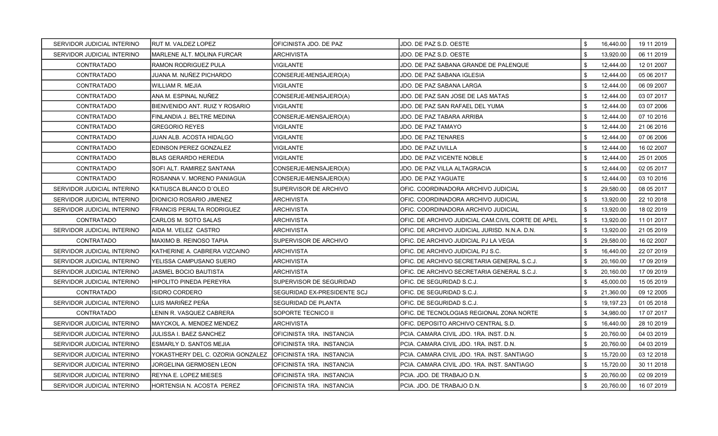| SERVIDOR JUDICIAL INTERINO | RUT M. VALDEZ LOPEZ               | OFICINISTA JDO. DE PAZ             | JDO. DE PAZ S.D. OESTE                            | \$<br>16.440.00 | 19 11 2019 |
|----------------------------|-----------------------------------|------------------------------------|---------------------------------------------------|-----------------|------------|
| SERVIDOR JUDICIAL INTERINO | MARLENE ALT. MOLINA FURCAR        | <b>ARCHIVISTA</b>                  | JDO. DE PAZ S.D. OESTE                            | \$<br>13,920.00 | 06 11 2019 |
| <b>CONTRATADO</b>          | RAMON RODRIGUEZ PULA              | <b>VIGILANTE</b>                   | JDO. DE PAZ SABANA GRANDE DE PALENQUE             | \$<br>12,444.00 | 12 01 2007 |
| <b>CONTRATADO</b>          | JUANA M. NUÑEZ PICHARDO           | CONSERJE-MENSAJERO(A)              | JDO. DE PAZ SABANA IGLESIA                        | \$<br>12,444.00 | 05 06 2017 |
| <b>CONTRATADO</b>          | WILLIAM R. MEJIA                  | <b>VIGILANTE</b>                   | JDO. DE PAZ SABANA LARGA                          | \$<br>12,444.00 | 06 09 2007 |
| CONTRATADO                 | ANA M. ESPINAL NUÑEZ              | CONSERJE-MENSAJERO(A)              | JDO. DE PAZ SAN JOSE DE LAS MATAS                 | \$<br>12,444.00 | 03 07 2017 |
| <b>CONTRATADO</b>          | BIENVENIDO ANT. RUIZ Y ROSARIO    | <b>VIGILANTE</b>                   | JDO. DE PAZ SAN RAFAEL DEL YUMA                   | \$<br>12,444.00 | 03 07 2006 |
| <b>CONTRATADO</b>          | FINLANDIA J. BELTRE MEDINA        | CONSERJE-MENSAJERO(A)              | JDO. DE PAZ TABARA ARRIBA                         | \$<br>12,444.00 | 07 10 2016 |
| <b>CONTRATADO</b>          | <b>GREGORIO REYES</b>             | <b>VIGILANTE</b>                   | <b>JDO. DE PAZ TAMAYO</b>                         | \$<br>12,444.00 | 21 06 2016 |
| CONTRATADO                 | JUAN ALB. ACOSTA HIDALGO          | <b>VIGILANTE</b>                   | <b>JDO. DE PAZ TENARES</b>                        | \$<br>12,444.00 | 07 06 2006 |
| <b>CONTRATADO</b>          | EDINSON PEREZ GONZALEZ            | VIGILANTE                          | JDO. DE PAZ UVILLA                                | \$<br>12,444.00 | 16 02 2007 |
| CONTRATADO                 | <b>BLAS GERARDO HEREDIA</b>       | <b>VIGILANTE</b>                   | JDO. DE PAZ VICENTE NOBLE                         | \$<br>12,444.00 | 25 01 2005 |
| <b>CONTRATADO</b>          | SOFI ALT. RAMIREZ SANTANA         | CONSERJE-MENSAJERO(A)              | <b>JDO. DE PAZ VILLA ALTAGRACIA</b>               | \$<br>12,444.00 | 02 05 2017 |
| CONTRATADO                 | ROSANNA V. MORENO PANIAGUA        | CONSERJE-MENSAJERO(A)              | JDO. DE PAZ YAGUATE                               | \$<br>12,444.00 | 03 10 2016 |
| SERVIDOR JUDICIAL INTERINO | KATIUSCA BLANCO D'OLEO            | <b>SUPERVISOR DE ARCHIVO</b>       | OFIC. COORDINADORA ARCHIVO JUDICIAL               | \$<br>29,580.00 | 08 05 2017 |
| SERVIDOR JUDICIAL INTERINO | <b>DIONICIO ROSARIO JIMENEZ</b>   | <b>ARCHIVISTA</b>                  | OFIC. COORDINADORA ARCHIVO JUDICIAL               | \$<br>13,920.00 | 22 10 2018 |
| SERVIDOR JUDICIAL INTERINO | <b>FRANCIS PERALTA RODRIGUEZ</b>  | <b>ARCHIVISTA</b>                  | OFIC. COORDINADORA ARCHIVO JUDICIAL               | \$<br>13,920.00 | 18 02 2019 |
| CONTRATADO                 | CARLOS M. SOTO SALAS              | <b>ARCHIVISTA</b>                  | OFIC. DE ARCHIVO JUDICIAL CAM.CIVIL CORTE DE APEL | \$<br>13,920.00 | 11 01 2017 |
| SERVIDOR JUDICIAL INTERINO | AIDA M. VELEZ CASTRO              | <b>ARCHIVISTA</b>                  | IOFIC. DE ARCHIVO JUDICIAL JURISD. N.N.A. D.N.    | \$<br>13,920.00 | 21 05 2019 |
| <b>CONTRATADO</b>          | MAXIMO B. REINOSO TAPIA           | SUPERVISOR DE ARCHIVO              | OFIC. DE ARCHIVO JUDICIAL PJ LA VEGA              | \$<br>29,580.00 | 16 02 2007 |
| SERVIDOR JUDICIAL INTERINO | KATHERINE A. CABRERA VIZCAINO     | <b>ARCHIVISTA</b>                  | OFIC. DE ARCHIVO JUDICIAL PJ S.C.                 | \$<br>16,440.00 | 22 07 2019 |
| SERVIDOR JUDICIAL INTERINO | YELISSA CAMPUSANO SUERO           | <b>ARCHIVISTA</b>                  | OFIC. DE ARCHIVO SECRETARIA GENERAL S.C.J.        | \$<br>20,160.00 | 17 09 2019 |
| SERVIDOR JUDICIAL INTERINO | JASMEL BOCIO BAUTISTA             | <b>ARCHIVISTA</b>                  | OFIC. DE ARCHIVO SECRETARIA GENERAL S.C.J.        | \$<br>20,160.00 | 17 09 2019 |
| SERVIDOR JUDICIAL INTERINO | HIPOLITO PINEDA PEREYRA           | SUPERVISOR DE SEGURIDAD            | OFIC. DE SEGURIDAD S.C.J.                         | \$<br>45,000.00 | 15 05 2019 |
| <b>CONTRATADO</b>          | ISIDRO CORDERO                    | <b>SEGURIDAD EX-PRESIDENTE SCJ</b> | IOFIC. DE SEGURIDAD S.C.J.                        | \$<br>21,360.00 | 09 12 2005 |
| SERVIDOR JUDICIAL INTERINO | LUIS MARIÑEZ PEÑA                 | <b>SEGURIDAD DE PLANTA</b>         | OFIC. DE SEGURIDAD S.C.J.                         | \$<br>19,197.23 | 01 05 2018 |
| <b>CONTRATADO</b>          | LENIN R. VASQUEZ CABRERA          | SOPORTE TECNICO II                 | OFIC. DE TECNOLOGIAS REGIONAL ZONA NORTE          | \$<br>34,980.00 | 17 07 2017 |
| SERVIDOR JUDICIAL INTERINO | MAYCKOL A. MENDEZ MENDEZ          | ARCHIVISTA                         | OFIC. DEPOSITO ARCHIVO CENTRAL S.D.               | \$<br>16,440.00 | 28 10 2019 |
| SERVIDOR JUDICIAL INTERINO | JULISSA I. BAEZ SANCHEZ           | IOFICINISTA 1RA. INSTANCIA         | IPCIA. CAMARA CIVIL JDO. 1RA. INST. D.N.          | \$<br>20,760.00 | 04 03 2019 |
| SERVIDOR JUDICIAL INTERINO | ESMARLY D. SANTOS MEJIA           | OFICINISTA 1RA. INSTANCIA          | PCIA. CAMARA CIVIL JDO. 1RA. INST. D.N.           | \$<br>20,760.00 | 04 03 2019 |
| SERVIDOR JUDICIAL INTERINO | YOKASTHERY DEL C. OZORIA GONZALEZ | OFICINISTA 1RA. INSTANCIA          | PCIA. CAMARA CIVIL JDO. 1RA. INST. SANTIAGO       | \$<br>15,720.00 | 03 12 2018 |
| SERVIDOR JUDICIAL INTERINO | JORGELINA GERMOSEN LEON           | OFICINISTA 1RA. INSTANCIA          | PCIA. CAMARA CIVIL JDO. 1RA. INST. SANTIAGO       | \$<br>15,720.00 | 30 11 2018 |
| SERVIDOR JUDICIAL INTERINO | REYNA E. LOPEZ MIESES             | OFICINISTA 1RA. INSTANCIA          | PCIA. JDO. DE TRABAJO D.N.                        | \$<br>20,760.00 | 02 09 2019 |
| SERVIDOR JUDICIAL INTERINO | HORTENSIA N. ACOSTA PEREZ         | OFICINISTA 1RA. INSTANCIA          | PCIA. JDO. DE TRABAJO D.N.                        | \$<br>20,760.00 | 16 07 2019 |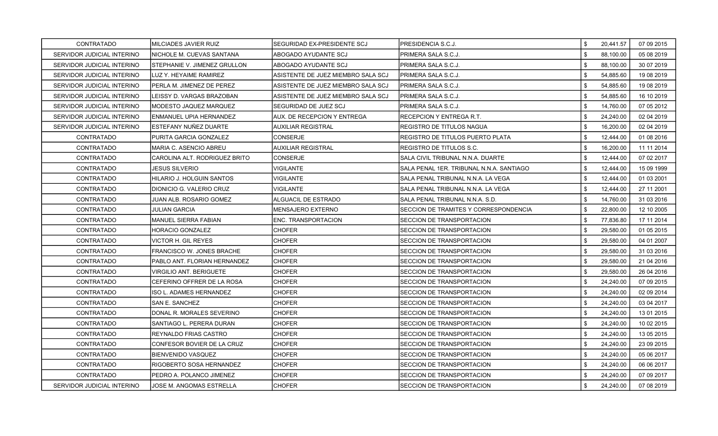| CONTRATADO                 | MILCIADES JAVIER RUIZ         | SEGURIDAD EX-PRESIDENTE SCJ        | PRESIDENCIA S.C.J.                       | \$  | 20,441.57 | 07 09 2015 |
|----------------------------|-------------------------------|------------------------------------|------------------------------------------|-----|-----------|------------|
| SERVIDOR JUDICIAL INTERINO | NICHOLE M. CUEVAS SANTANA     | ABOGADO AYUDANTE SCJ               | PRIMERA SALA S.C.J.                      | \$. | 88,100.00 | 05 08 2019 |
| SERVIDOR JUDICIAL INTERINO | STEPHANIE V. JIMENEZ GRULLON  | ABOGADO AYUDANTE SCJ               | PRIMERA SALA S.C.J.                      | \$  | 88,100.00 | 30 07 2019 |
| SERVIDOR JUDICIAL INTERINO | LUZ Y. HEYAIME RAMIREZ        | ASISTENTE DE JUEZ MIEMBRO SALA SCJ | PRIMERA SALA S.C.J.                      | \$  | 54,885.60 | 19 08 2019 |
| SERVIDOR JUDICIAL INTERINO | PERLA M. JIMENEZ DE PEREZ     | ASISTENTE DE JUEZ MIEMBRO SALA SCJ | PRIMERA SALA S.C.J.                      | \$  | 54,885.60 | 19 08 2019 |
| SERVIDOR JUDICIAL INTERINO | LEISSY D. VARGAS BRAZOBAN     | ASISTENTE DE JUEZ MIEMBRO SALA SCJ | PRIMERA SALA S.C.J.                      | \$  | 54,885.60 | 16 10 2019 |
| SERVIDOR JUDICIAL INTERINO | MODESTO JAQUEZ MARQUEZ        | SEGURIDAD DE JUEZ SCJ              | PRIMERA SALA S.C.J.                      | \$  | 14,760.00 | 07 05 2012 |
| SERVIDOR JUDICIAL INTERINO | IENMANUEL UPIA HERNANDEZ      | AUX. DE RECEPCION Y ENTREGA        | RECEPCION Y ENTREGA R.T.                 | \$  | 24,240.00 | 02 04 2019 |
| SERVIDOR JUDICIAL INTERINO | ESTEFANY NUÑEZ DUARTE         | <b>AUXILIAR REGISTRAL</b>          | REGISTRO DE TITULOS NAGUA                | \$  | 16,200.00 | 02 04 2019 |
| <b>CONTRATADO</b>          | PURITA GARCIA GONZALEZ        | <b>CONSERJE</b>                    | REGISTRO DE TITULOS PUERTO PLATA         | \$  | 12,444.00 | 01 08 2016 |
| CONTRATADO                 | MARIA C. ASENCIO ABREU        | <b>AUXILIAR REGISTRAL</b>          | REGISTRO DE TITULOS S.C.                 | \$  | 16,200.00 | 11 11 2014 |
| CONTRATADO                 | CAROLINA ALT. RODRIGUEZ BRITO | <b>CONSERJE</b>                    | SALA CIVIL TRIBUNAL N.N.A. DUARTE        | \$. | 12,444.00 | 07 02 2017 |
| CONTRATADO                 | JESUS SILVERIO                | VIGILANTE                          | SALA PENAL 1ER. TRIBUNAL N.N.A. SANTIAGO | \$  | 12,444.00 | 15 09 1999 |
| CONTRATADO                 | HILARIO J. HOLGUIN SANTOS     | <b>VIGILANTE</b>                   | SALA PENAL TRIBUNAL N.N.A. LA VEGA       | \$  | 12,444.00 | 01 03 2001 |
| <b>CONTRATADO</b>          | DIONICIO G. VALERIO CRUZ      | VIGILANTE                          | SALA PENAL TRIBUNAL N.N.A. LA VEGA       | \$  | 12,444.00 | 27 11 2001 |
| <b>CONTRATADO</b>          | JUAN ALB. ROSARIO GOMEZ       | ALGUACIL DE ESTRADO                | SALA PENAL TRIBUNAL N.N.A. S.D.          | \$  | 14,760.00 | 31 03 2016 |
| CONTRATADO                 | <b>JULIAN GARCIA</b>          | <b>MENSAJERO EXTERNO</b>           | SECCION DE TRAMITES Y CORRESPONDENCIA    | \$  | 22,800.00 | 12 10 2005 |
| <b>CONTRATADO</b>          | <b>MANUEL SIERRA FABIAN</b>   | ENC. TRANSPORTACION                | SECCION DE TRANSPORTACION                | \$  | 77,836.80 | 17 11 2014 |
| CONTRATADO                 | HORACIO GONZALEZ              | <b>CHOFER</b>                      | SECCION DE TRANSPORTACION                | \$  | 29,580.00 | 01 05 2015 |
| <b>CONTRATADO</b>          | VICTOR H. GIL REYES           | <b>CHOFER</b>                      | SECCION DE TRANSPORTACION                | \$  | 29,580.00 | 04 01 2007 |
| <b>CONTRATADO</b>          | FRANCISCO W. JONES BRACHE     | <b>CHOFER</b>                      | SECCION DE TRANSPORTACION                | \$  | 29,580.00 | 31 03 2016 |
| <b>CONTRATADO</b>          | PABLO ANT. FLORIAN HERNANDEZ  | <b>CHOFER</b>                      | SECCION DE TRANSPORTACION                | \$. | 29,580.00 | 21 04 2016 |
| CONTRATADO                 | VIRGILIO ANT. BERIGUETE       | <b>CHOFER</b>                      | SECCION DE TRANSPORTACION                | \$  | 29,580.00 | 26 04 2016 |
| <b>CONTRATADO</b>          | CEFERINO OFFRER DE LA ROSA    | <b>CHOFER</b>                      | <b>SECCION DE TRANSPORTACION</b>         | \$  | 24,240.00 | 07 09 2015 |
| CONTRATADO                 | ISO L. ADAMES HERNANDEZ       | <b>CHOFER</b>                      | SECCION DE TRANSPORTACION                | \$  | 24,240.00 | 02 09 2014 |
| <b>CONTRATADO</b>          | SAN E. SANCHEZ                | <b>CHOFER</b>                      | SECCION DE TRANSPORTACION                | \$  | 24,240.00 | 03 04 2017 |
| CONTRATADO                 | DONAL R. MORALES SEVERINO     | <b>CHOFER</b>                      | SECCION DE TRANSPORTACION                | \$  | 24,240.00 | 13 01 2015 |
| <b>CONTRATADO</b>          | SANTIAGO L. PERERA DURAN      | <b>CHOFER</b>                      | SECCION DE TRANSPORTACION                | \$  | 24,240.00 | 10 02 2015 |
| CONTRATADO                 | REYNALDO FRIAS CASTRO         | <b>CHOFER</b>                      | SECCION DE TRANSPORTACION                | \$  | 24,240.00 | 13 05 2015 |
| CONTRATADO                 | CONFESOR BOVIER DE LA CRUZ    | <b>CHOFER</b>                      | SECCION DE TRANSPORTACION                | \$  | 24,240.00 | 23 09 2015 |
| CONTRATADO                 | BIENVENIDO VASQUEZ            | <b>CHOFER</b>                      | SECCION DE TRANSPORTACION                | \$  | 24,240.00 | 05 06 2017 |
| <b>CONTRATADO</b>          | RIGOBERTO SOSA HERNANDEZ      | <b>CHOFER</b>                      | SECCION DE TRANSPORTACION                | \$  | 24,240.00 | 06 06 2017 |
| CONTRATADO                 | PEDRO A. POLANCO JIMENEZ      | <b>CHOFER</b>                      | SECCION DE TRANSPORTACION                | \$  | 24,240.00 | 07 09 2017 |
| SERVIDOR JUDICIAL INTERINO | JOSE M. ANGOMAS ESTRELLA      | <b>CHOFER</b>                      | SECCION DE TRANSPORTACION                | \$  | 24,240.00 | 07 08 2019 |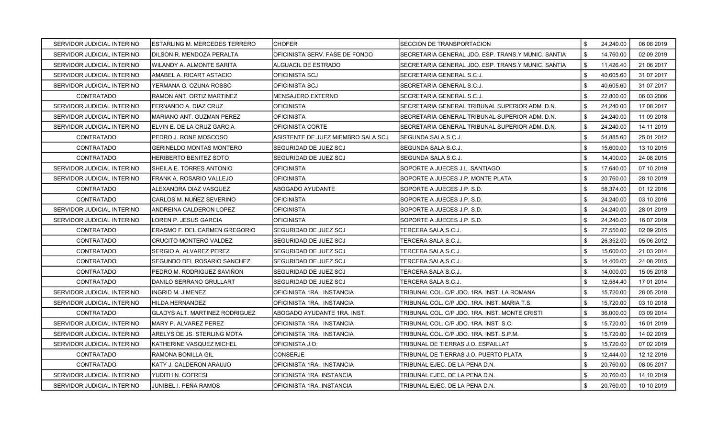| SERVIDOR JUDICIAL INTERINO | <b>ESTARLING M. MERCEDES TERRERO</b>  | <b>CHOFER</b>                      | <b>SECCION DE TRANSPORTACION</b>                   | \$  | 24,240.00 | 06 08 2019 |
|----------------------------|---------------------------------------|------------------------------------|----------------------------------------------------|-----|-----------|------------|
| SERVIDOR JUDICIAL INTERINO | DILSON R. MENDOZA PERALTA             | OFICINISTA SERV. FASE DE FONDO     | SECRETARIA GENERAL JDO. ESP. TRANS Y MUNIC. SANTIA | \$  | 14,760.00 | 02 09 2019 |
| SERVIDOR JUDICIAL INTERINO | WILANDY A. ALMONTE SARITA             | ALGUACIL DE ESTRADO                | SECRETARIA GENERAL JDO. ESP. TRANS Y MUNIC. SANTIA | \$  | 11,426.40 | 21 06 2017 |
| SERVIDOR JUDICIAL INTERINO | AMABEL A. RICART ASTACIO              | <b>OFICINISTA SCJ</b>              | SECRETARIA GENERAL S.C.J.                          | \$  | 40,605.60 | 31 07 2017 |
| SERVIDOR JUDICIAL INTERINO | YERMANA G. OZUNA ROSSO                | OFICINISTA SCJ                     | SECRETARIA GENERAL S.C.J.                          | \$  | 40,605.60 | 31 07 2017 |
| <b>CONTRATADO</b>          | RAMON ANT. ORTIZ MARTINEZ             | MENSAJERO EXTERNO                  | SECRETARIA GENERAL S.C.J.                          | \$  | 22,800.00 | 06 03 2006 |
| SERVIDOR JUDICIAL INTERINO | FERNANDO A. DIAZ CRUZ                 | <b>OFICINISTA</b>                  | SECRETARIA GENERAL TRIBUNAL SUPERIOR ADM. D.N.     | \$  | 24,240.00 | 17 08 2017 |
| SERVIDOR JUDICIAL INTERINO | MARIANO ANT. GUZMAN PEREZ             | <b>OFICINISTA</b>                  | SECRETARIA GENERAL TRIBUNAL SUPERIOR ADM. D.N.     | \$  | 24,240.00 | 11 09 2018 |
| SERVIDOR JUDICIAL INTERINO | ELVIN E. DE LA CRUZ GARCIA            | OFICINISTA CORTE                   | SECRETARIA GENERAL TRIBUNAL SUPERIOR ADM. D.N.     | \$  | 24,240.00 | 14 11 2019 |
| <b>CONTRATADO</b>          | PEDRO J. RONE MOSCOSO                 | ASISTENTE DE JUEZ MIEMBRO SALA SCJ | SEGUNDA SALA S.C.J.                                | \$  | 54,885.60 | 25 01 2012 |
| <b>CONTRATADO</b>          | GERINELDO MONTAS MONTERO              | SEGURIDAD DE JUEZ SCJ              | SEGUNDA SALA S.C.J.                                | \$  | 15,600.00 | 13 10 2015 |
| CONTRATADO                 | HERIBERTO BENITEZ SOTO                | <b>SEGURIDAD DE JUEZ SCJ</b>       | SEGUNDA SALA S.C.J.                                | \$  | 14,400.00 | 24 08 2015 |
| SERVIDOR JUDICIAL INTERINO | SHEILA E. TORRES ANTONIO              | <b>OFICINISTA</b>                  | SOPORTE A JUECES J.L. SANTIAGO                     | \$  | 17,640.00 | 07 10 2019 |
| SERVIDOR JUDICIAL INTERINO | FRANK A. ROSARIO VALLEJO              | <b>OFICINISTA</b>                  | SOPORTE A JUECES J.P. MONTE PLATA                  | \$  | 20,760.00 | 28 10 2019 |
| <b>CONTRATADO</b>          | ALEXANDRA DIAZ VASQUEZ                | ABOGADO AYUDANTE                   | SOPORTE A JUECES J.P. S.D.                         | \$  | 58,374.00 | 01 12 2016 |
| <b>CONTRATADO</b>          | CARLOS M. NUÑEZ SEVERINO              | <b>OFICINISTA</b>                  | SOPORTE A JUECES J.P. S.D.                         | \$  | 24,240.00 | 03 10 2016 |
| SERVIDOR JUDICIAL INTERINO | ANDREINA CALDERON LOPEZ               | <b>OFICINISTA</b>                  | SOPORTE A JUECES J.P. S.D.                         | \$. | 24,240.00 | 28 01 2019 |
| SERVIDOR JUDICIAL INTERINO | LOREN P. JESUS GARCIA                 | <b>OFICINISTA</b>                  | SOPORTE A JUECES J.P. S.D.                         | \$  | 24,240.00 | 16 07 2019 |
| <b>CONTRATADO</b>          | ERASMO F. DEL CARMEN GREGORIO         | <b>SEGURIDAD DE JUEZ SCJ</b>       | TERCERA SALA S.C.J.                                | \$  | 27,550.00 | 02 09 2015 |
| CONTRATADO                 | CRUCITO MONTERO VALDEZ                | SEGURIDAD DE JUEZ SCJ              | TERCERA SALA S.C.J.                                | \$  | 26,352.00 | 05 06 2012 |
| <b>CONTRATADO</b>          | SERGIO A. ALVAREZ PEREZ               | <b>SEGURIDAD DE JUEZ SCJ</b>       | TERCERA SALA S.C.J.                                | \$  | 15,600.00 | 21 03 2014 |
| <b>CONTRATADO</b>          | SEGUNDO DEL ROSARIO SANCHEZ           | <b>SEGURIDAD DE JUEZ SCJ</b>       | TERCERA SALA S.C.J.                                | \$  | 14,400.00 | 24 08 2015 |
| <b>CONTRATADO</b>          | PEDRO M. RODRIGUEZ SAVIÑON            | <b>SEGURIDAD DE JUEZ SCJ</b>       | TERCERA SALA S.C.J.                                | \$  | 14,000.00 | 15 05 2018 |
| <b>CONTRATADO</b>          | DANILO SERRANO GRULLART               | SEGURIDAD DE JUEZ SCJ              | TERCERA SALA S.C.J.                                | \$  | 12,584.40 | 17 01 2014 |
| SERVIDOR JUDICIAL INTERINO | INGRID M. JIMENEZ                     | OFICINISTA 1RA. INSTANCIA          | TRIBUNAL COL. C/P JDO. 1RA. INST. LA ROMANA        | \$  | 15,720.00 | 28 05 2018 |
| SERVIDOR JUDICIAL INTERINO | HILDA HERNANDEZ                       | OFICINISTA 1RA. INSTANCIA          | TRIBUNAL COL. C/P JDO. 1RA. INST. MARIA T.S.       | \$  | 15,720.00 | 03 10 2018 |
| <b>CONTRATADO</b>          | <b>GLADYS ALT. MARTINEZ RODRIGUEZ</b> | ABOGADO AYUDANTE 1RA. INST.        | TRIBUNAL COL. C/P JDO. 1RA. INST. MONTE CRISTI     | \$  | 36,000.00 | 03 09 2014 |
| SERVIDOR JUDICIAL INTERINO | MARY P. ALVAREZ PEREZ                 | OFICINISTA 1RA. INSTANCIA          | TRIBUNAL COL. C/P JDO. 1RA. INST. S.C.             | \$  | 15,720.00 | 16 01 2019 |
| SERVIDOR JUDICIAL INTERINO | ARELYS DE JS. STERLING MOTA           | OFICINISTA 1RA. INSTANCIA          | TRIBUNAL COL. C/P JDO. 1RA. INST. S.P.M.           | \$  | 15,720.00 | 14 02 2019 |
| SERVIDOR JUDICIAL INTERINO | KATHERINE VASQUEZ MICHEL              | OFICINISTA J.O.                    | TRIBUNAL DE TIERRAS J.O. ESPAILLAT                 | \$  | 15,720.00 | 07 02 2019 |
| <b>CONTRATADO</b>          | RAMONA BONILLA GIL                    | <b>CONSERJE</b>                    | TRIBUNAL DE TIERRAS J.O. PUERTO PLATA              | \$  | 12,444.00 | 12 12 2016 |
| CONTRATADO                 | KATY J. CALDERON ARAUJO               | OFICINISTA 1RA. INSTANCIA          | TRIBUNAL EJEC. DE LA PENA D.N.                     | \$  | 20,760.00 | 08 05 2017 |
| SERVIDOR JUDICIAL INTERINO | YUDITH N. COFRESI                     | OFICINISTA 1RA. INSTANCIA          | TRIBUNAL EJEC. DE LA PENA D.N.                     | \$  | 20,760.00 | 14 10 2019 |
| SERVIDOR JUDICIAL INTERINO | JUNIBEL I. PEÑA RAMOS                 | OFICINISTA 1RA. INSTANCIA          | TRIBUNAL EJEC. DE LA PENA D.N.                     | \$  | 20,760.00 | 10 10 2019 |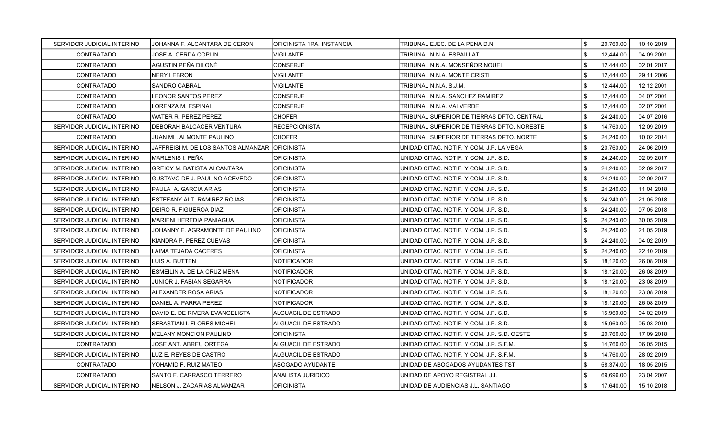| SERVIDOR JUDICIAL INTERINO | JOHANNA F. ALCANTARA DE CERON                   | OFICINISTA 1RA. INSTANCIA | TRIBUNAL EJEC. DE LA PENA D.N.              | \$<br>20,760.00 | 10 10 2019 |
|----------------------------|-------------------------------------------------|---------------------------|---------------------------------------------|-----------------|------------|
| <b>CONTRATADO</b>          | JOSE A. CERDA COPLIN                            | VIGILANTE                 | TRIBUNAL N.N.A. ESPAILLAT                   | \$<br>12,444.00 | 04 09 2001 |
| <b>CONTRATADO</b>          | AGUSTIN PEÑA DILONÉ                             | CONSERJE                  | TRIBUNAL N.N.A. MONSEÑOR NOUEL              | \$<br>12,444.00 | 02 01 2017 |
| CONTRATADO                 | NERY LEBRON                                     | VIGILANTE                 | TRIBUNAL N.N.A. MONTE CRISTI                | \$<br>12,444.00 | 29 11 2006 |
| <b>CONTRATADO</b>          | SANDRO CABRAL                                   | VIGILANTE                 | TRIBUNAL N.N.A. S.J.M.                      | \$<br>12,444.00 | 12 12 2001 |
| <b>CONTRATADO</b>          | EONOR SANTOS PEREZ                              | CONSERJE                  | TRIBUNAL N.N.A. SANCHEZ RAMIREZ             | \$<br>12,444.00 | 04 07 2001 |
| <b>CONTRATADO</b>          | LORENZA M. ESPINAL                              | <b>CONSERJE</b>           | TRIBUNAL N.N.A. VALVERDE                    | \$<br>12,444.00 | 02 07 2001 |
| <b>CONTRATADO</b>          | WATER R. PEREZ PEREZ                            | <b>CHOFER</b>             | TRIBUNAL SUPERIOR DE TIERRAS DPTO. CENTRAL  | \$<br>24,240.00 | 04 07 2016 |
| SERVIDOR JUDICIAL INTERINO | <b>DEBORAH BALCACER VENTURA</b>                 | <b>RECEPCIONISTA</b>      | TRIBUNAL SUPERIOR DE TIERRAS DPTO. NORESTE  | \$<br>14,760.00 | 12 09 2019 |
| <b>CONTRATADO</b>          | JUAN ML. ALMONTE PAULINO                        | <b>CHOFER</b>             | TRIBUNAL SUPERIOR DE TIERRAS DPTO. NORTE    | \$<br>24,240.00 | 10 02 2014 |
| SERVIDOR JUDICIAL INTERINO | JAFFREISI M. DE LOS SANTOS ALMANZAR  OFICINISTA |                           | UNIDAD CITAC. NOTIF. Y COM. J.P. LA VEGA    | \$<br>20,760.00 | 24 06 2019 |
| SERVIDOR JUDICIAL INTERINO | MARLENIS I. PEÑA                                | <b>OFICINISTA</b>         | UNIDAD CITAC, NOTIF, Y COM, J.P. S.D.       | \$<br>24,240.00 | 02 09 2017 |
| SERVIDOR JUDICIAL INTERINO | <b>GREICY M. BATISTA ALCANTARA</b>              | <b>OFICINISTA</b>         | UNIDAD CITAC. NOTIF. Y COM. J.P. S.D.       | \$<br>24,240.00 | 02 09 2017 |
| SERVIDOR JUDICIAL INTERINO | IGUSTAVO DE J. PAULINO ACEVEDO                  | <b>OFICINISTA</b>         | UNIDAD CITAC. NOTIF. Y COM. J.P. S.D.       | \$<br>24,240.00 | 02 09 2017 |
| SERVIDOR JUDICIAL INTERINO | PAULA A. GARCIA ARIAS                           | <b>OFICINISTA</b>         | UNIDAD CITAC. NOTIF. Y COM. J.P. S.D.       | \$<br>24.240.00 | 11 04 2018 |
| SERVIDOR JUDICIAL INTERINO | ESTEFANY ALT. RAMIREZ ROJAS                     | <b>OFICINISTA</b>         | UNIDAD CITAC. NOTIF. Y COM. J.P. S.D.       | \$<br>24,240.00 | 21 05 2018 |
| SERVIDOR JUDICIAL INTERINO | DEIRO R. FIGUEROA DIAZ                          | <b>OFICINISTA</b>         | UNIDAD CITAC. NOTIF. Y COM. J.P. S.D.       | \$<br>24,240.00 | 07 05 2018 |
| SERVIDOR JUDICIAL INTERINO | <b>MARIENI HEREDIA PANIAGUA</b>                 | <b>OFICINISTA</b>         | UNIDAD CITAC. NOTIF. Y COM. J.P. S.D.       | \$<br>24,240.00 | 30 05 2019 |
| SERVIDOR JUDICIAL INTERINO | JOHANNY E. AGRAMONTE DE PAULINO                 | <b>OFICINISTA</b>         | UNIDAD CITAC. NOTIF. Y COM. J.P. S.D.       | \$<br>24,240.00 | 21 05 2019 |
| SERVIDOR JUDICIAL INTERINO | KIANDRA P. PEREZ CUEVAS                         | <b>OFICINISTA</b>         | UNIDAD CITAC. NOTIF. Y COM. J.P. S.D.       | \$<br>24,240.00 | 04 02 2019 |
| SERVIDOR JUDICIAL INTERINO | LAIMA TEJADA CACERES                            | OFICINISTA                | UNIDAD CITAC. NOTIF. Y COM. J.P. S.D.       | \$<br>24,240.00 | 22 10 2019 |
| SERVIDOR JUDICIAL INTERINO | LUIS A. BUTTEN                                  | NOTIFICADOR               | UNIDAD CITAC. NOTIF. Y COM. J.P. S.D.       | \$<br>18,120.00 | 26 08 2019 |
| SERVIDOR JUDICIAL INTERINO | ESMEILIN A. DE LA CRUZ MENA                     | NOTIFICADOR               | UNIDAD CITAC. NOTIF. Y COM. J.P. S.D.       | \$<br>18,120.00 | 26 08 2019 |
| SERVIDOR JUDICIAL INTERINO | JUNIOR J. FABIAN SEGARRA                        | NOTIFICADOR               | UNIDAD CITAC. NOTIF. Y COM. J.P. S.D.       | \$<br>18,120.00 | 23 08 2019 |
| SERVIDOR JUDICIAL INTERINO | ALEXANDER ROSA ARIAS                            | NOTIFICADOR               | UNIDAD CITAC. NOTIF. Y COM. J.P. S.D.       | \$<br>18,120.00 | 23 08 2019 |
| SERVIDOR JUDICIAL INTERINO | DANIEL A. PARRA PEREZ                           | NOTIFICADOR               | UNIDAD CITAC. NOTIF. Y COM. J.P. S.D.       | \$<br>18,120.00 | 26 08 2019 |
| SERVIDOR JUDICIAL INTERINO | DAVID E. DE RIVERA EVANGELISTA                  | ALGUACIL DE ESTRADO       | UNIDAD CITAC. NOTIF. Y COM. J.P. S.D.       | \$<br>15,960.00 | 04 02 2019 |
| SERVIDOR JUDICIAL INTERINO | <b>SEBASTIAN I. FLORES MICHEL</b>               | ALGUACIL DE ESTRADO       | UNIDAD CITAC. NOTIF. Y COM. J.P. S.D.       | \$<br>15,960.00 | 05 03 2019 |
| SERVIDOR JUDICIAL INTERINO | <b>MELANY MONCION PAULINO</b>                   | <b>OFICINISTA</b>         | UNIDAD CITAC. NOTIF. Y COM. J.P. S.D. OESTE | \$<br>20,760.00 | 17 09 2018 |
| CONTRATADO                 | JOSE ANT. ABREU ORTEGA                          | ALGUACIL DE ESTRADO       | UNIDAD CITAC. NOTIF. Y COM. J.P. S.F.M.     | \$<br>14,760.00 | 06 05 2015 |
| SERVIDOR JUDICIAL INTERINO | LUZ E. REYES DE CASTRO                          | ALGUACIL DE ESTRADO       | UNIDAD CITAC. NOTIF. Y COM. J.P. S.F.M.     | \$<br>14,760.00 | 28 02 2019 |
| <b>CONTRATADO</b>          | YOHAMID F. RUIZ MATEO                           | ABOGADO AYUDANTE          | UNIDAD DE ABOGADOS AYUDANTES TST            | \$<br>58,374.00 | 18 05 2015 |
| <b>CONTRATADO</b>          | SANTO F. CARRASCO TERRERO                       | <b>ANALISTA JURIDICO</b>  | UNIDAD DE APOYO REGISTRAL J.I.              | \$<br>69,696.00 | 23 04 2007 |
| SERVIDOR JUDICIAL INTERINO | NELSON J. ZACARIAS ALMANZAR                     | <b>OFICINISTA</b>         | UNIDAD DE AUDIENCIAS J.L. SANTIAGO          | \$<br>17,640.00 | 15 10 2018 |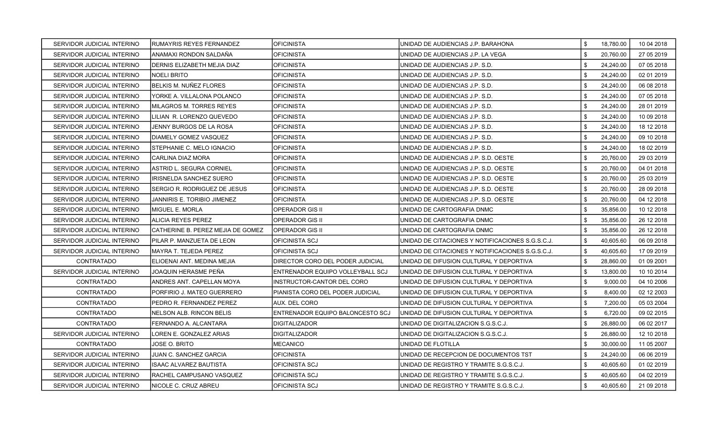| SERVIDOR JUDICIAL INTERINO | RUMAYRIS REYES FERNANDEZ           | <b>OFICINISTA</b>                       | UNIDAD DE AUDIENCIAS J.P. BARAHONA               | \$  | 18,780.00 | 10 04 2018 |
|----------------------------|------------------------------------|-----------------------------------------|--------------------------------------------------|-----|-----------|------------|
| SERVIDOR JUDICIAL INTERINO | IANAMAXI RONDON SALDAÑA            | <b>OFICINISTA</b>                       | UNIDAD DE AUDIENCIAS J.P. LA VEGA                | \$. | 20,760.00 | 27 05 2019 |
| SERVIDOR JUDICIAL INTERINO | DERNIS ELIZABETH MEJIA DIAZ        | <b>OFICINISTA</b>                       | UNIDAD DE AUDIENCIAS J.P. S.D.                   | \$  | 24,240.00 | 07 05 2018 |
| SERVIDOR JUDICIAL INTERINO | NOELI BRITO                        | <b>OFICINISTA</b>                       | UNIDAD DE AUDIENCIAS J.P. S.D.                   | \$  | 24,240.00 | 02 01 2019 |
| SERVIDOR JUDICIAL INTERINO | BELKIS M. NUÑEZ FLORES             | <b>OFICINISTA</b>                       | UNIDAD DE AUDIENCIAS J.P. S.D.                   | \$  | 24,240.00 | 06 08 2018 |
| SERVIDOR JUDICIAL INTERINO | YORKE A. VILLALONA POLANCO         | <b>OFICINISTA</b>                       | UNIDAD DE AUDIENCIAS J.P. S.D.                   | \$  | 24,240.00 | 07 05 2018 |
| SERVIDOR JUDICIAL INTERINO | MILAGROS M. TORRES REYES           | <b>OFICINISTA</b>                       | UNIDAD DE AUDIENCIAS J.P. S.D.                   | \$  | 24,240.00 | 28 01 2019 |
| SERVIDOR JUDICIAL INTERINO | LILIAN R. LORENZO QUEVEDO          | <b>OFICINISTA</b>                       | UNIDAD DE AUDIENCIAS J.P. S.D.                   | \$  | 24,240.00 | 10 09 2018 |
| SERVIDOR JUDICIAL INTERINO | JENNY BURGOS DE LA ROSA            | <b>OFICINISTA</b>                       | UNIDAD DE AUDIENCIAS J.P. S.D.                   | \$  | 24,240.00 | 18 12 2018 |
| SERVIDOR JUDICIAL INTERINO | IDIAMELY GOMEZ VASQUEZ             | <b>OFICINISTA</b>                       | UNIDAD DE AUDIENCIAS J.P. S.D.                   | \$  | 24,240.00 | 09 10 2018 |
| SERVIDOR JUDICIAL INTERINO | STEPHANIE C. MELO IGNACIO          | <b>OFICINISTA</b>                       | UNIDAD DE AUDIENCIAS J.P. S.D.                   | \$  | 24,240.00 | 18 02 2019 |
| SERVIDOR JUDICIAL INTERINO | ICARLINA DIAZ MORA                 | <b>OFICINISTA</b>                       | IUNIDAD DE AUDIENCIAS J.P. S.D. OESTE            | \$  | 20,760.00 | 29 03 2019 |
| SERVIDOR JUDICIAL INTERINO | ASTRID L. SEGURA CORNIEL           | <b>OFICINISTA</b>                       | UNIDAD DE AUDIENCIAS J.P. S.D. OESTE             | \$  | 20,760.00 | 04 01 2018 |
| SERVIDOR JUDICIAL INTERINO | IRISNELDA SANCHEZ SUERO            | <b>OFICINISTA</b>                       | UNIDAD DE AUDIENCIAS J.P. S.D. OESTE             | \$  | 20,760.00 | 25 03 2019 |
| SERVIDOR JUDICIAL INTERINO | SERGIO R. RODRIGUEZ DE JESUS       | <b>OFICINISTA</b>                       | UNIDAD DE AUDIENCIAS J.P. S.D. OESTE             | \$  | 20,760.00 | 28 09 2018 |
| SERVIDOR JUDICIAL INTERINO | <b>JANNIRIS E. TORIBIO JIMENEZ</b> | <b>OFICINISTA</b>                       | UNIDAD DE AUDIENCIAS J.P. S.D. OESTE             | \$  | 20,760.00 | 04 12 2018 |
| SERVIDOR JUDICIAL INTERINO | <b>MIGUEL E. MORLA</b>             | OPERADOR GIS II                         | UNIDAD DE CARTOGRAFIA DNMC                       | \$  | 35,856.00 | 10 12 2018 |
| SERVIDOR JUDICIAL INTERINO | ALICIA REYES PEREZ                 | IOPERADOR GIS II                        | UNIDAD DE CARTOGRAFIA DNMC                       | \$  | 35,856.00 | 26 12 2018 |
| SERVIDOR JUDICIAL INTERINO | CATHERINE B. PEREZ MEJIA DE GOMEZ  | OPERADOR GIS II                         | UNIDAD DE CARTOGRAFIA DNMC                       | \$  | 35,856.00 | 26 12 2018 |
| SERVIDOR JUDICIAL INTERINO | PILAR P. MANZUETA DE LEON          | <b>OFICINISTA SCJ</b>                   | UNIDAD DE CITACIONES Y NOTIFICACIONES S.G.S.C.J. | \$  | 40,605.60 | 06 09 2018 |
| SERVIDOR JUDICIAL INTERINO | MAYRA T. TEJEDA PEREZ              | OFICINISTA SCJ                          | UNIDAD DE CITACIONES Y NOTIFICACIONES S.G.S.C.J. | \$  | 40,605.60 | 17 09 2019 |
| CONTRATADO                 | ELIOENAI ANT. MEDINA MEJIA         | <b>DIRECTOR CORO DEL PODER JUDICIAL</b> | UNIDAD DE DIFUSION CULTURAL Y DEPORTIVA          | \$  | 28,860.00 | 01 09 2001 |
| SERVIDOR JUDICIAL INTERINO | JOAQUIN HERASME PEÑA               | ENTRENADOR EQUIPO VOLLEYBALL SCJ        | JUNIDAD DE DIFUSION CULTURAL Y DEPORTIVA         | \$  | 13,800.00 | 10 10 2014 |
| CONTRATADO                 | ANDRES ANT. CAPELLAN MOYA          | INSTRUCTOR-CANTOR DEL CORO              | UNIDAD DE DIFUSION CULTURAL Y DEPORTIVA          | \$  | 9,000.00  | 04 10 2006 |
| <b>CONTRATADO</b>          | PORFIRIO J. MATEO GUERRERO         | IPIANISTA CORO DEL PODER JUDICIAL       | UNIDAD DE DIFUSION CULTURAL Y DEPORTIVA          | \$  | 8,400.00  | 02 12 2003 |
| CONTRATADO                 | PEDRO R. FERNANDEZ PEREZ           | AUX. DEL CORO                           | UNIDAD DE DIFUSION CULTURAL Y DEPORTIVA          | \$  | 7,200.00  | 05 03 2004 |
| CONTRATADO                 | NELSON ALB. RINCON BELIS           | ENTRENADOR EQUIPO BALONCESTO SCJ        | JUNIDAD DE DIFUSION CULTURAL Y DEPORTIVA         | \$  | 6,720.00  | 09 02 2015 |
| CONTRATADO                 | FERNANDO A. ALCANTARA              | <b>DIGITALIZADOR</b>                    | UNIDAD DE DIGITALIZACION S.G.S.C.J.              | \$  | 26,880.00 | 06 02 2017 |
| SERVIDOR JUDICIAL INTERINO | LOREN E. GONZALEZ ARIAS            | <b>DIGITALIZADOR</b>                    | UNIDAD DE DIGITALIZACION S.G.S.C.J.              | \$  | 26,880.00 | 12 10 2018 |
| CONTRATADO                 | JOSE O. BRITO                      | MECANICO                                | UNIDAD DE FLOTILLA                               | \$  | 30,000.00 | 11 05 2007 |
| SERVIDOR JUDICIAL INTERINO | JUAN C. SANCHEZ GARCIA             | <b>OFICINISTA</b>                       | UNIDAD DE RECEPCION DE DOCUMENTOS TST            | \$  | 24,240.00 | 06 06 2019 |
| SERVIDOR JUDICIAL INTERINO | ISAAC ALVAREZ BAUTISTA             | OFICINISTA SCJ                          | UNIDAD DE REGISTRO Y TRAMITE S.G.S.C.J.          | \$  | 40,605.60 | 01 02 2019 |
| SERVIDOR JUDICIAL INTERINO | RACHEL CAMPUSANO VASQUEZ           | OFICINISTA SCJ                          | UNIDAD DE REGISTRO Y TRAMITE S.G.S.C.J.          | \$  | 40,605.60 | 04 02 2019 |
| SERVIDOR JUDICIAL INTERINO | NICOLE C. CRUZ ABREU               | OFICINISTA SCJ                          | UNIDAD DE REGISTRO Y TRAMITE S.G.S.C.J.          | \$  | 40,605.60 | 21 09 2018 |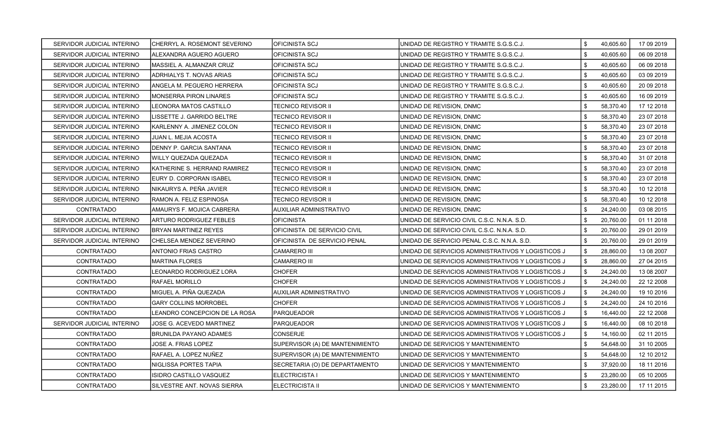| SERVIDOR JUDICIAL INTERINO | CHERRYL A. ROSEMONT SEVERINO   | <b>OFICINISTA SCJ</b>           | UNIDAD DE REGISTRO Y TRAMITE S.G.S.C.J.            | \$  | 40,605.60 | 17 09 2019 |
|----------------------------|--------------------------------|---------------------------------|----------------------------------------------------|-----|-----------|------------|
| SERVIDOR JUDICIAL INTERINO | ALEXANDRA AGUERO AGUERO        | OFICINISTA SCJ                  | UNIDAD DE REGISTRO Y TRAMITE S.G.S.C.J.            | \$. | 40,605.60 | 06 09 2018 |
| SERVIDOR JUDICIAL INTERINO | MASSIEL A. ALMANZAR CRUZ       | <b>OFICINISTA SCJ</b>           | UNIDAD DE REGISTRO Y TRAMITE S.G.S.C.J.            | \$  | 40,605.60 | 06 09 2018 |
| SERVIDOR JUDICIAL INTERINO | ADRHIALYS T. NOVAS ARIAS       | OFICINISTA SCJ                  | UNIDAD DE REGISTRO Y TRAMITE S.G.S.C.J.            | \$  | 40,605.60 | 03 09 2019 |
| SERVIDOR JUDICIAL INTERINO | ANGELA M. PEGUERO HERRERA      | OFICINISTA SCJ                  | UNIDAD DE REGISTRO Y TRAMITE S.G.S.C.J.            | \$  | 40,605.60 | 20 09 2018 |
| SERVIDOR JUDICIAL INTERINO | <b>MONSERRA PIRON LINARES</b>  | OFICINISTA SCJ                  | UNIDAD DE REGISTRO Y TRAMITE S.G.S.C.J.            | \$  | 40,605.60 | 16 09 2019 |
| SERVIDOR JUDICIAL INTERINO | LEONORA MATOS CASTILLO         | TECNICO REVISOR II              | UNIDAD DE REVISION, DNMC                           | \$  | 58,370.40 | 17 12 2018 |
| SERVIDOR JUDICIAL INTERINO | LISSETTE J. GARRIDO BELTRE     | TECNICO REVISOR II              | UNIDAD DE REVISION, DNMC                           | \$  | 58,370.40 | 23 07 2018 |
| SERVIDOR JUDICIAL INTERINO | KARLENNY A. JIMENEZ COLON      | TECNICO REVISOR II              | UNIDAD DE REVISION, DNMC                           | \$  | 58,370.40 | 23 07 2018 |
| SERVIDOR JUDICIAL INTERINO | JUAN L. MEJIA ACOSTA           | TECNICO REVISOR II              | UNIDAD DE REVISION, DNMC                           | \$  | 58,370.40 | 23 07 2018 |
| SERVIDOR JUDICIAL INTERINO | DENNY P. GARCIA SANTANA        | TECNICO REVISOR II              | UNIDAD DE REVISION, DNMC                           | \$  | 58,370.40 | 23 07 2018 |
| SERVIDOR JUDICIAL INTERINO | WILLY QUEZADA QUEZADA          | TECNICO REVISOR II              | UNIDAD DE REVISION, DNMC                           | \$. | 58,370.40 | 31 07 2018 |
| SERVIDOR JUDICIAL INTERINO | KATHERINE S. HERRAND RAMIREZ   | TECNICO REVISOR II              | UNIDAD DE REVISION, DNMC                           | \$  | 58,370.40 | 23 07 2018 |
| SERVIDOR JUDICIAL INTERINO | EURY D. CORPORAN ISABEL        | <b>TECNICO REVISOR II</b>       | UNIDAD DE REVISION, DNMC                           | \$  | 58,370.40 | 23 07 2018 |
| SERVIDOR JUDICIAL INTERINO | NIKAURYS A. PEÑA JAVIER        | TECNICO REVISOR II              | UNIDAD DE REVISION, DNMC                           | \$  | 58,370.40 | 10 12 2018 |
| SERVIDOR JUDICIAL INTERINO | RAMON A. FELIZ ESPINOSA        | TECNICO REVISOR II              | UNIDAD DE REVISION, DNMC                           | \$  | 58,370.40 | 10 12 2018 |
| <b>CONTRATADO</b>          | AMAURYS F. MOJICA CABRERA      | <b>AUXILIAR ADMINISTRATIVO</b>  | UNIDAD DE REVISION, DNMC                           | \$. | 24,240.00 | 03 08 2015 |
| SERVIDOR JUDICIAL INTERINO | <b>ARTURO RODRIGUEZ FEBLES</b> | <b>OFICINISTA</b>               | UNIDAD DE SERVICIO CIVIL C.S.C. N.N.A. S.D.        | \$. | 20,760.00 | 01 11 2018 |
| SERVIDOR JUDICIAL INTERINO | <b>BRYAN MARTINEZ REYES</b>    | OFICINISTA DE SERVICIO CIVIL    | UNIDAD DE SERVICIO CIVIL C.S.C. N.N.A. S.D.        | \$  | 20,760.00 | 29 01 2019 |
| SERVIDOR JUDICIAL INTERINO | CHELSEA MENDEZ SEVERINO        | OFICINISTA DE SERVICIO PENAL    | UNIDAD DE SERVICIO PENAL C.S.C. N.N.A. S.D.        | \$  | 20,760.00 | 29 01 2019 |
| <b>CONTRATADO</b>          | ANTONIO FRIAS CASTRO           | <b>CAMARERO III</b>             | UNIDAD DE SERVICIOS ADMINISTRATIVOS Y LOGISTICOS J | \$  | 28,860.00 | 13 08 2007 |
| <b>CONTRATADO</b>          | MARTINA FLORES                 | <b>CAMARERO III</b>             | UNIDAD DE SERVICIOS ADMINISTRATIVOS Y LOGISTICOS J | \$  | 28,860.00 | 27 04 2015 |
| CONTRATADO                 | LEONARDO RODRIGUEZ LORA        | <b>CHOFER</b>                   | UNIDAD DE SERVICIOS ADMINISTRATIVOS Y LOGISTICOS J | \$  | 24,240.00 | 13 08 2007 |
| CONTRATADO                 | RAFAEL MORILLO                 | <b>CHOFER</b>                   | UNIDAD DE SERVICIOS ADMINISTRATIVOS Y LOGISTICOS J | \$  | 24,240.00 | 22 12 2008 |
| <b>CONTRATADO</b>          | MIGUEL A. PIÑA QUEZADA         | AUXILIAR ADMINISTRATIVO         | UNIDAD DE SERVICIOS ADMINISTRATIVOS Y LOGISTICOS J | \$  | 24,240.00 | 19 10 2016 |
| <b>CONTRATADO</b>          | GARY COLLINS MORROBEL          | <b>CHOFER</b>                   | UNIDAD DE SERVICIOS ADMINISTRATIVOS Y LOGISTICOS J | \$  | 24,240.00 | 24 10 2016 |
| CONTRATADO                 | LEANDRO CONCEPCION DE LA ROSA  | <b>PARQUEADOR</b>               | UNIDAD DE SERVICIOS ADMINISTRATIVOS Y LOGISTICOS J | \$  | 16,440.00 | 22 12 2008 |
| SERVIDOR JUDICIAL INTERINO | JOSE G. ACEVEDO MARTINEZ       | PARQUEADOR                      | UNIDAD DE SERVICIOS ADMINISTRATIVOS Y LOGISTICOS J | \$  | 16,440.00 | 08 10 2018 |
| <b>CONTRATADO</b>          | BRUNILDA PAYANO ADAMES         | <b>CONSERJE</b>                 | UNIDAD DE SERVICIOS ADMINISTRATIVOS Y LOGISTICOS J | \$  | 14,160.00 | 02 11 2015 |
| <b>CONTRATADO</b>          | JOSE A. FRIAS LOPEZ            | SUPERVISOR (A) DE MANTENIMIENTO | UNIDAD DE SERVICIOS Y MANTENIMIENTO                | \$  | 54,648.00 | 31 10 2005 |
| <b>CONTRATADO</b>          | RAFAEL A. LOPEZ NUÑEZ          | SUPERVISOR (A) DE MANTENIMIENTO | UNIDAD DE SERVICIOS Y MANTENIMIENTO                | \$  | 54,648.00 | 12 10 2012 |
| CONTRATADO                 | NIGLISSA PORTES TAPIA          | SECRETARIA (O) DE DEPARTAMENTO  | UNIDAD DE SERVICIOS Y MANTENIMIENTO                | \$  | 37,920.00 | 18 11 2016 |
| <b>CONTRATADO</b>          | ISIDRO CASTILLO VASQUEZ        | <b>ELECTRICISTA I</b>           | UNIDAD DE SERVICIOS Y MANTENIMIENTO                | \$  | 23,280.00 | 05 10 2005 |
| <b>CONTRATADO</b>          | SILVESTRE ANT. NOVAS SIERRA    | <b>ELECTRICISTA II</b>          | UNIDAD DE SERVICIOS Y MANTENIMIENTO                | \$  | 23,280.00 | 17 11 2015 |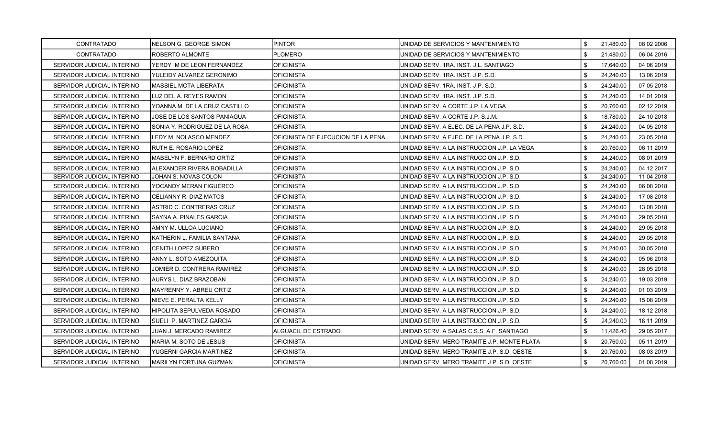| <b>CONTRATADO</b>          | NELSON G. GEORGE SIMON        | <b>PINTOR</b>                      | UNIDAD DE SERVICIOS Y MANTENIMIENTO        | \$<br>21,480.00 | 08 02 2006 |
|----------------------------|-------------------------------|------------------------------------|--------------------------------------------|-----------------|------------|
| <b>CONTRATADO</b>          | ROBERTO ALMONTE               | PLOMERO                            | UNIDAD DE SERVICIOS Y MANTENIMIENTO        | \$<br>21,480.00 | 06 04 2016 |
| SERVIDOR JUDICIAL INTERINO | YERDY M DE LEON FERNANDEZ     | <b>OFICINISTA</b>                  | UNIDAD SERV. 1RA. INST. J.L. SANTIAGO      | \$<br>17,640.00 | 04 06 2019 |
| SERVIDOR JUDICIAL INTERINO | YULEIDY ALVAREZ GERONIMO      | <b>OFICINISTA</b>                  | UNIDAD SERV. 1RA. INST. J.P. S.D.          | \$<br>24,240.00 | 13 06 2019 |
| SERVIDOR JUDICIAL INTERINO | <b>MASSIEL MOTA LIBERATA</b>  | <b>OFICINISTA</b>                  | UNIDAD SERV. 1RA. INST. J.P. S.D.          | \$<br>24,240.00 | 07 05 2018 |
| SERVIDOR JUDICIAL INTERINO | LUZ DEL A. REYES RAMON        | <b>OFICINISTA</b>                  | UNIDAD SERV. 1RA. INST. J.P. S.D.          | \$<br>24,240.00 | 14 01 2019 |
| SERVIDOR JUDICIAL INTERINO | YOANNA M. DE LA CRUZ CASTILLO | <b>OFICINISTA</b>                  | UNIDAD SERV. A CORTE J.P. LA VEGA          | \$<br>20,760.00 | 02 12 2019 |
| SERVIDOR JUDICIAL INTERINO | JOSE DE LOS SANTOS PANIAGUA   | <b>OFICINISTA</b>                  | UNIDAD SERV. A CORTE J.P. S.J.M.           | \$<br>18,780.00 | 24 10 2018 |
| SERVIDOR JUDICIAL INTERINO | SONIA Y. RODRIGUEZ DE LA ROSA | OFICINISTA                         | UNIDAD SERV. A EJEC. DE LA PENA J.P. S.D.  | \$<br>24,240.00 | 04 05 2018 |
| SERVIDOR JUDICIAL INTERINO | LEDY M. NOLASCO MENDEZ        | OFICINISTA DE EJECUCION DE LA PENA | UNIDAD SERV. A EJEC. DE LA PENA J.P. S.D.  | \$<br>24,240.00 | 23 05 2018 |
| SERVIDOR JUDICIAL INTERINO | RUTH E. ROSARIO LOPEZ         | <b>OFICINISTA</b>                  | UNIDAD SERV. A LA INSTRUCCION J.P. LA VEGA | \$<br>20,760.00 | 06 11 2019 |
| SERVIDOR JUDICIAL INTERINO | MABELYN F. BERNARD ORTIZ      | <b>OFICINISTA</b>                  | UNIDAD SERV. A LA INSTRUCCION J.P. S.D.    | \$<br>24,240.00 | 08 01 2019 |
| SERVIDOR JUDICIAL INTERINO | ALEXANDER RIVERA BOBADILLA    | <b>OFICINISTA</b>                  | UNIDAD SERV. A LA INSTRUCCION J.P. S.D.    | \$<br>24,240.00 | 04 12 2017 |
| SERVIDOR JUDICIAL INTERINO | JOHAN S. NOVAS COLON          | <b>OFICINISTA</b>                  | UNIDAD SERV. A LA INSTRUCCION J.P. S.D.    | \$<br>24,240.00 | 11 04 2018 |
| SERVIDOR JUDICIAL INTERINO | YOCANDY MERAN FIGUEREO        | <b>OFICINISTA</b>                  | UNIDAD SERV. A LA INSTRUCCION J.P. S.D.    | 24,240.00       | 06 08 2018 |
| SERVIDOR JUDICIAL INTERINO | CELIANNY R. DIAZ MATOS        | <b>OFICINISTA</b>                  | UNIDAD SERV. A LA INSTRUCCION J.P. S.D.    | \$<br>24,240.00 | 17 08 2018 |
| SERVIDOR JUDICIAL INTERINO | ASTRID C. CONTRERAS CRUZ      | OFICINISTA                         | UNIDAD SERV. A LA INSTRUCCION J.P. S.D.    | \$<br>24,240.00 | 13 08 2018 |
| SERVIDOR JUDICIAL INTERINO | SAYNA A. PINALES GARCIA       | <b>OFICINISTA</b>                  | UNIDAD SERV. A LA INSTRUCCION J.P. S.D.    | \$<br>24,240.00 | 29 05 2018 |
| SERVIDOR JUDICIAL INTERINO | AMNY M. ULLOA LUCIANO         | <b>OFICINISTA</b>                  | UNIDAD SERV. A LA INSTRUCCION J.P. S.D.    | \$<br>24,240.00 | 29 05 2018 |
| SERVIDOR JUDICIAL INTERINO | KATHERIN L. FAMILIA SANTANA   | <b>OFICINISTA</b>                  | UNIDAD SERV. A LA INSTRUCCION J.P. S.D.    | \$<br>24,240.00 | 29 05 2018 |
| SERVIDOR JUDICIAL INTERINO | <b>CENITH LOPEZ SUBERO</b>    | <b>OFICINISTA</b>                  | UNIDAD SERV. A LA INSTRUCCION J.P. S.D.    | \$<br>24,240.00 | 30 05 2018 |
| SERVIDOR JUDICIAL INTERINO | ANNY L. SOTO AMEZQUITA        | <b>OFICINISTA</b>                  | UNIDAD SERV. A LA INSTRUCCION J.P. S.D.    | \$<br>24,240.00 | 05 06 2018 |
| SERVIDOR JUDICIAL INTERINO | JOMIER D. CONTRERA RAMIREZ    | <b>OFICINISTA</b>                  | UNIDAD SERV. A LA INSTRUCCION J.P. S.D.    | \$<br>24,240.00 | 28 05 2018 |
| SERVIDOR JUDICIAL INTERINO | AURYS L. DIAZ BRAZOBAN        | <b>OFICINISTA</b>                  | UNIDAD SERV. A LA INSTRUCCION J.P. S.D.    | \$<br>24,240.00 | 19 03 2019 |
| SERVIDOR JUDICIAL INTERINO | MAYRENNY Y. ABREU ORTIZ       | <b>OFICINISTA</b>                  | UNIDAD SERV. A LA INSTRUCCION J.P. S.D.    | \$<br>24,240.00 | 01 03 2019 |
| SERVIDOR JUDICIAL INTERINO | NIEVE E. PERALTA KELLY        | OFICINISTA                         | UNIDAD SERV. A LA INSTRUCCION J.P. S.D.    | \$<br>24,240.00 | 15 08 2019 |
| SERVIDOR JUDICIAL INTERINO | HIPOLITA SEPULVEDA ROSADO     | <b>OFICINISTA</b>                  | UNIDAD SERV. A LA INSTRUCCION J.P. S.D.    | \$<br>24,240.00 | 18 12 2018 |
| SERVIDOR JUDICIAL INTERINO | SUELI P. MARTINEZ GARCIA      | <b>OFICINISTA</b>                  | UNIDAD SERV. A LA INSTRUCCION J.P. S.D.    | \$<br>24,240.00 | 16 11 2019 |
| SERVIDOR JUDICIAL INTERINO | JUAN J. MERCADO RAMIREZ       | <b>ALGUACIL DE ESTRADO</b>         | UNIDAD SERV. A SALAS C.S.S. A.F. SANTIAGO  | \$<br>11,426.40 | 29 05 2017 |
| SERVIDOR JUDICIAL INTERINO | MARIA M. SOTO DE JESUS        | <b>OFICINISTA</b>                  | UNIDAD SERV. MERO TRAMITE J.P. MONTE PLATA | \$<br>20,760.00 | 05 11 2019 |
| SERVIDOR JUDICIAL INTERINO | YUGERNI GARCIA MARTINEZ       | <b>OFICINISTA</b>                  | UNIDAD SERV. MERO TRAMITE J.P. S.D. OESTE  | \$<br>20,760.00 | 08 03 2019 |
| SERVIDOR JUDICIAL INTERINO | <b>MARILYN FORTUNA GUZMAN</b> | <b>OFICINISTA</b>                  | UNIDAD SERV. MERO TRAMITE J.P. S.D. OESTE  | \$<br>20.760.00 | 01 08 2019 |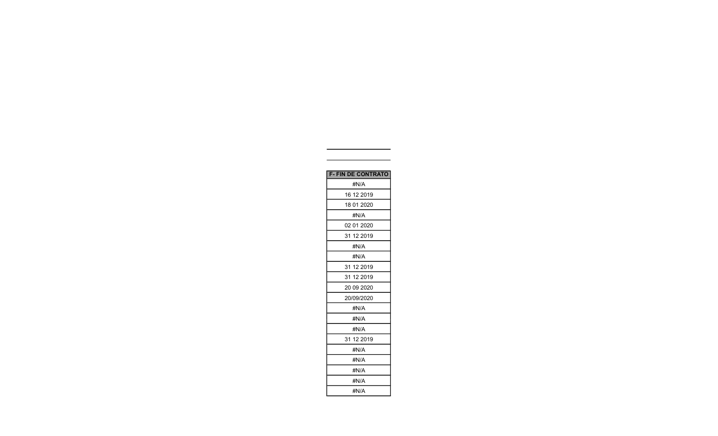| <b>F-FIN DE CONTRATO</b> |
|--------------------------|
| #N/A                     |
| 16 12 2019               |
| 18 01 2020               |
| #N/A                     |
| 02 01 2020               |
| 31 12 2019               |
| #N/A                     |
| #N/A                     |
| 31 12 2019               |
| 31 12 2019               |
| 20 09 20 20              |
| 20/09/2020               |
| #N/A                     |
| #N/A                     |
| #N/A                     |
| 31 12 2019               |
| #N/A                     |
| #N/A                     |
| #N/A                     |
| #N/A                     |
| #N/A                     |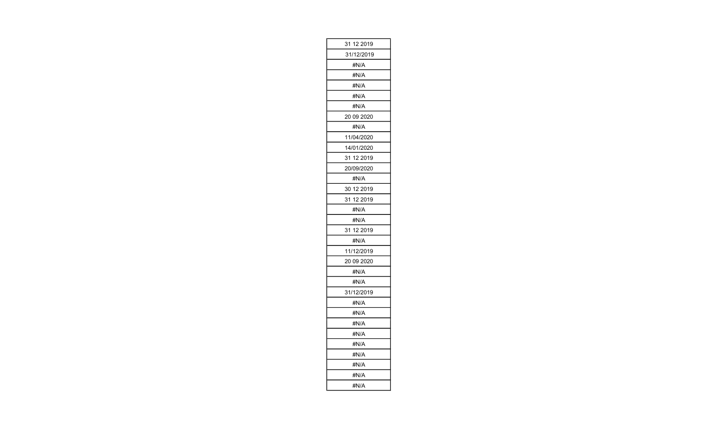| 31 12 2019    |
|---------------|
| 31/12/2019    |
| #N/A          |
| #N/A          |
| #N/A          |
| #N/A          |
| #N/A          |
| 20 09 2020    |
| #N/A          |
| 11/04/2020    |
| 14/01/2020    |
| 31 12 2019    |
| 20/09/2020    |
| #N/A          |
| 30 12 2019    |
| 31 12 2019    |
| #N/A          |
|               |
| #N/A          |
| 31<br>12 2019 |
| #N/A          |
| 11/12/2019    |
| 20 09 2020    |
| #N/A          |
| #N/A          |
| 31/12/2019    |
| #N/A          |
| #N/A          |
| #N/A          |
| #N/A          |
| #N/A          |
| #N/A          |
| #N/A          |
| #N/A          |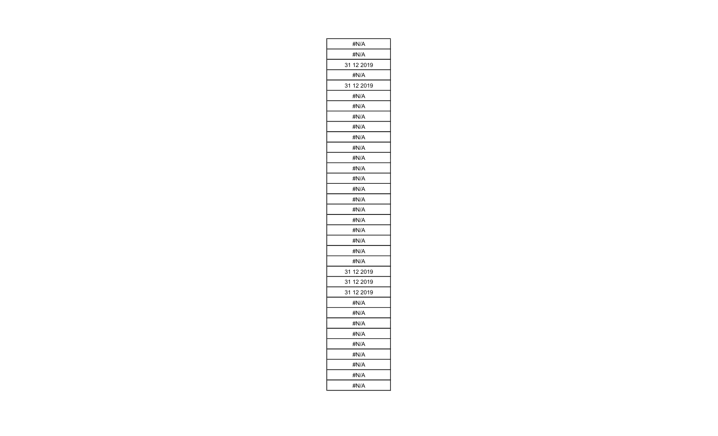| #N/A          |
|---------------|
| #N/A          |
| 12 2019<br>31 |
| #N/A          |
| 12 2019<br>31 |
| #N/A          |
| #N/A          |
| #N/A          |
| #N/A          |
| #N/A          |
| #N/A          |
| #N/A          |
| #N/A          |
| #N/A          |
| #N/A          |
| #N/A          |
| #N/A          |
| #N/A          |
| #N/A          |
| #N/A          |
| #N/A          |
| #N/A          |
| 31<br>12 2019 |
| 31 12 2019    |
| 31<br>12 2019 |
| #N/A          |
| #N/A          |
| #N/A          |
| #N/A          |
| #N/A          |
| #N/A          |
| #N/A          |
| #N/A          |
| #N/A          |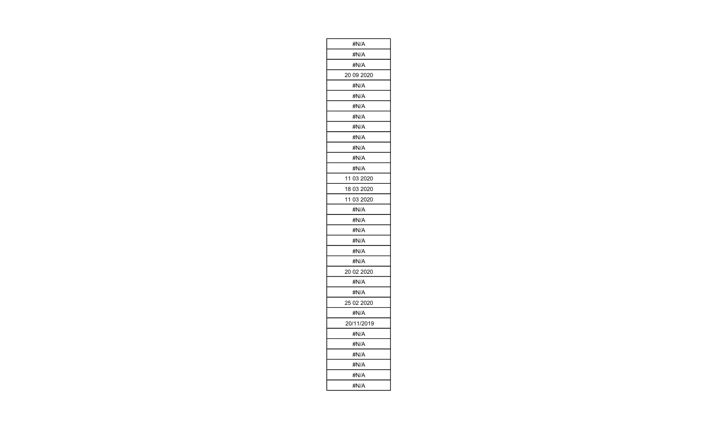| #N/A       |
|------------|
| #N/A       |
| #N/A       |
| 20 09 2020 |
| #N/A       |
| #N/A       |
| #N/A       |
| #N/A       |
| #N/A       |
| #N/A       |
| #N/A       |
| #N/A       |
| #N/A       |
| 11 03 2020 |
| 18 03 2020 |
| 11 03 2020 |
| #N/A       |
| #N/A       |
| #N/A       |
| #N/A       |
| #N/A       |
| #N/A       |
| 20 02 2020 |
| #N/A       |
| #N/A       |
| 25 02 2020 |
| #N/A       |
| 20/11/2019 |
| #N/A       |
| #N/A       |
| #N/A       |
| #N/A       |
| #N/A       |
| #N/A       |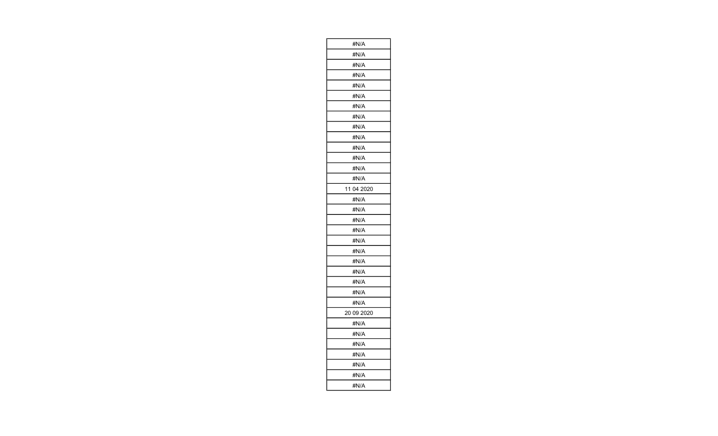| #N/A          |
|---------------|
| #N/A          |
| #N/A          |
| #N/A          |
| #N/A          |
| #N/A          |
| #N/A          |
| #N/A          |
| #N/A          |
| #N/A          |
| #N/A          |
| #N/A          |
| #N/A          |
| #N/A          |
| 11<br>04 2020 |
| #N/A          |
| #N/A          |
| #N/A          |
| #N/A          |
| #N/A          |
| #N/A          |
| #N/A          |
| #N/A          |
| #N/A          |
| #N/A          |
| #N/A          |
| 20 09 2020    |
| #N/A          |
| #N/A          |
| #N/A          |
| #N/A          |
| #N/A          |
| #N/A          |
| #N/A          |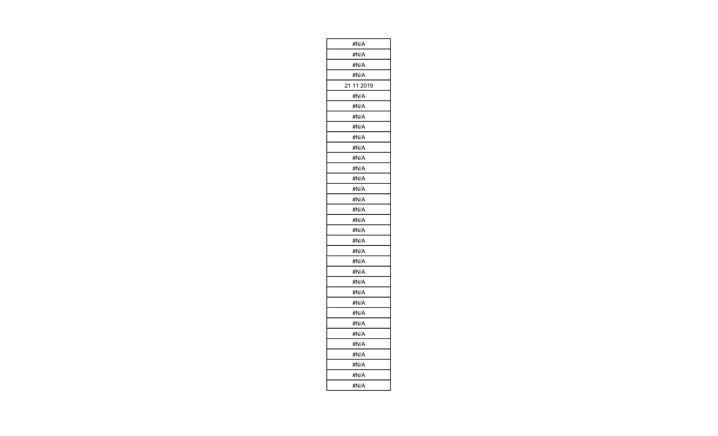| #N/A          |
|---------------|
| #N/A          |
| #N/A          |
| #N/A          |
| 21<br>11 2019 |
| #N/A          |
| #N/A          |
| #N/A          |
| #N/A          |
| #N/A          |
| #N/A          |
| #N/A          |
| #N/A          |
| #N/A          |
| #N/A          |
| #N/A          |
| #N/A          |
| #N/A          |
| #N/A          |
| #N/A          |
| #N/A          |
| #N/A          |
| #N/A          |
| #N/A          |
| #N/A          |
| #N/A          |
| #N/A          |
| #N/A          |
| #N/A          |
| #N/A          |
| #N/A          |
| #N/A          |
| #N/A          |
| #N/A          |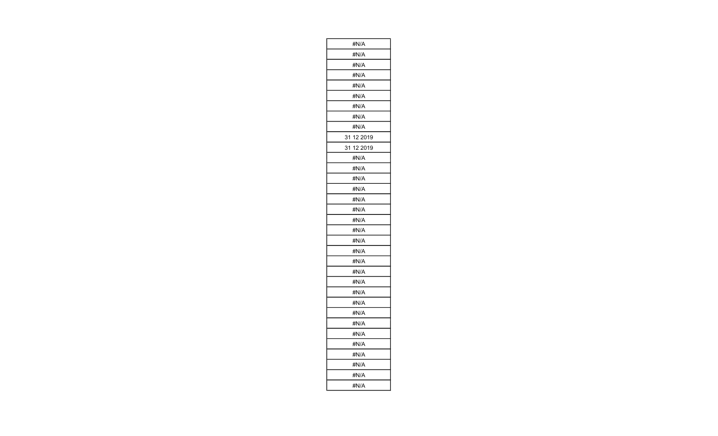| #N/A          |
|---------------|
| #N/A          |
| #N/A          |
| #N/A          |
| #N/A          |
| #N/A          |
| #N/A          |
| #N/A          |
| #N/A          |
| 31<br>12 2019 |
| 31<br>12 2019 |
| #N/A          |
| #N/A          |
| #N/A          |
| #N/A          |
| #N/A          |
| #N/A          |
| #N/A          |
| #N/A          |
| #N/A          |
| #N/A          |
| #N/A          |
| #N/A          |
| #N/A          |
| #N/A          |
| #N/A          |
| #N/A          |
| #N/A          |
| #N/A          |
| #N/A          |
| #N/A          |
| #N/A          |
| #N/A          |
| #N/A          |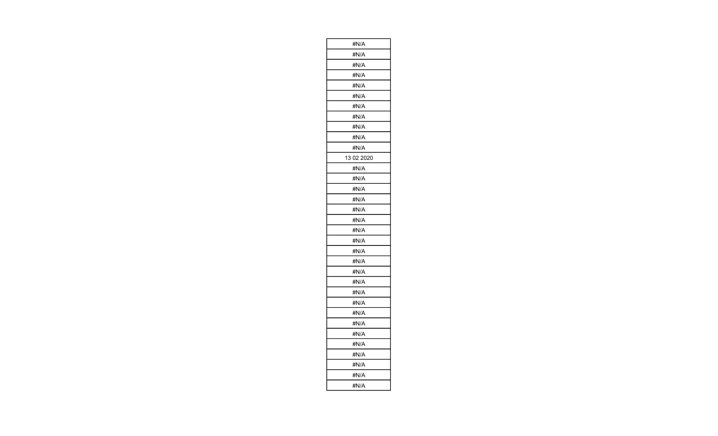| #N/A       |
|------------|
| #N/A       |
| #N/A       |
| #N/A       |
| #N/A       |
| #N/A       |
| #N/A       |
| #N/A       |
| #N/A       |
| #N/A       |
| #N/A       |
| 13 02 2020 |
| #N/A       |
| #N/A       |
| #N/A       |
| #N/A       |
| #N/A       |
| #N/A       |
| #N/A       |
| #N/A       |
| #N/A       |
| #N/A       |
| #N/A       |
| #N/A       |
| #N/A       |
| #N/A       |
| #N/A       |
| #N/A       |
| #N/A       |
| #N/A       |
| #N/A       |
| #N/A       |
| #N/A       |
| #N/A       |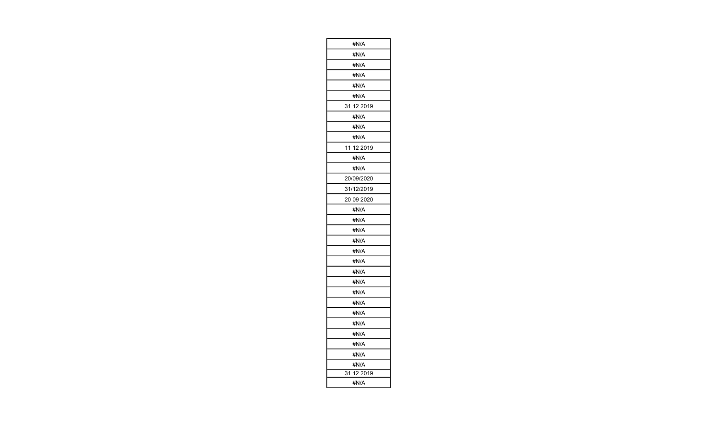| #N/A          |
|---------------|
| #N/A          |
| #N/A          |
| #N/A          |
| #N/A          |
| #N/A          |
| 31 12 2019    |
| #N/A          |
| #N/A          |
| #N/A          |
| 11 12 2019    |
| #N/A          |
| #N/A          |
| 20/09/2020    |
| 31/12/2019    |
| 20 09 2020    |
| #N/A          |
| #N/A          |
| #N/A          |
| #N/A          |
| #N/A          |
| #N/A          |
| #N/A          |
| #N/A          |
| #N/A          |
| #N/A          |
| #N/A          |
| #N/A          |
| #N/A          |
| #N/A          |
| #N/A          |
| #N/A          |
| 31<br>12 2019 |
| #N/A          |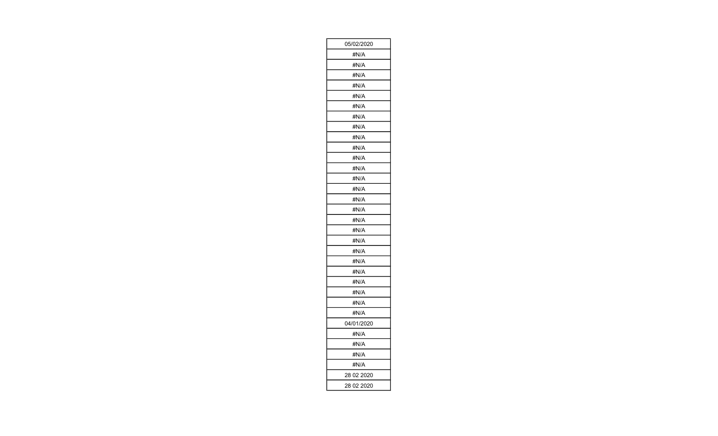| 05/02/2020 |
|------------|
| #N/A       |
| #N/A       |
| #N/A       |
| #N/A       |
| #N/A       |
| #N/A       |
| #N/A       |
| #N/A       |
| #N/A       |
| #N/A       |
| #N/A       |
| #N/A       |
| #N/A       |
| #N/A       |
| #N/A       |
| #N/A       |
| #N/A       |
| #N/A       |
| #N/A       |
| #N/A       |
| #N/A       |
| #N/A       |
| #N/A       |
| #N/A       |
| #N/A       |
| #N/A       |
| 04/01/2020 |
| #N/A       |
| #N/A       |
| #N/A       |
| #N/A       |
| 28 02 2020 |
| 28 02 2020 |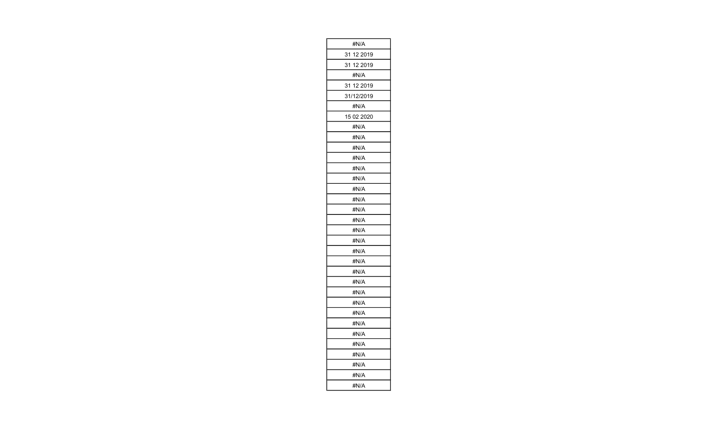| #N/A          |
|---------------|
| 31 12 2019    |
| 31 12 2019    |
| #N/A          |
| 12 2019<br>31 |
| 31/12/2019    |
| #N/A          |
| 15 02 2020    |
| #N/A          |
| #N/A          |
| #N/A          |
| #N/A          |
| #N/A          |
| #N/A          |
| #N/A          |
| #N/A          |
| #N/A          |
| #N/A          |
| #N/A          |
| #N/A          |
| #N/A          |
| #N/A          |
| #N/A          |
| #N/A          |
| #N/A          |
| #N/A          |
| #N/A          |
| #N/A          |
| #N/A          |
| #N/A          |
| #N/A          |
| #N/A          |
| #N/A          |
| #N/A          |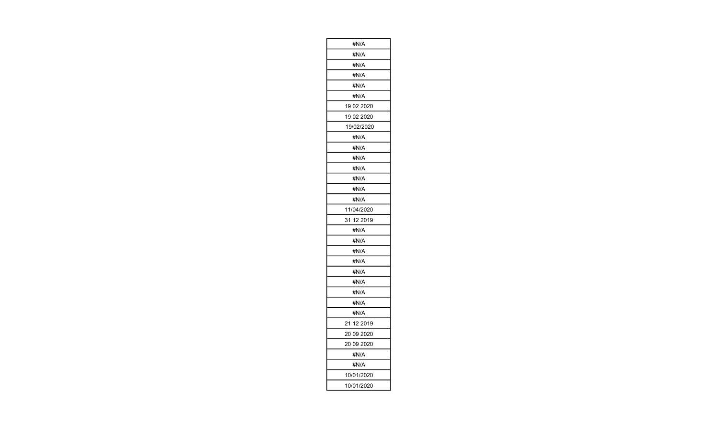| #N/A       |
|------------|
| #N/A       |
| #N/A       |
| #N/A       |
| #N/A       |
| #N/A       |
| 19 02 2020 |
| 19 02 2020 |
| 19/02/2020 |
| #N/A       |
| #N/A       |
| #N/A       |
| #N/A       |
| #N/A       |
| #N/A       |
| #N/A       |
| 11/04/2020 |
| 31 12 2019 |
| #N/A       |
| #N/A       |
| #N/A       |
| #N/A       |
| #N/A       |
| #N/A       |
| #N/A       |
| #N/A       |
| #N/A       |
| 21 12 2019 |
| 20 09 2020 |
| 20 09 2020 |
| #N/A       |
| #N/A       |
| 10/01/2020 |
| 10/01/2020 |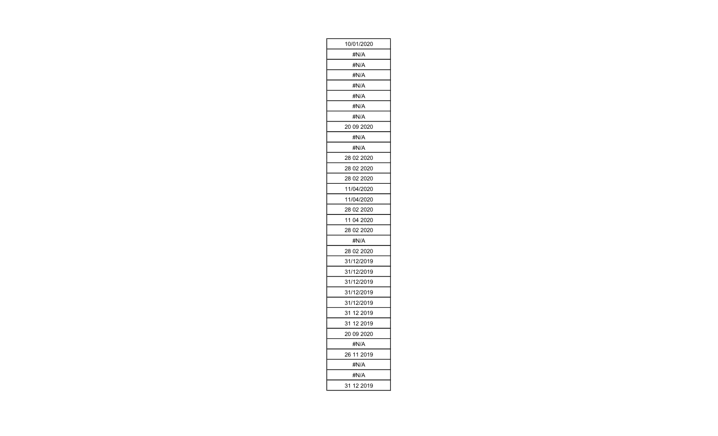| 10/01/2020    |
|---------------|
| #N/A          |
| #N/A          |
| #N/A          |
| #N/A          |
| #N/A          |
| #N/A          |
| #N/A          |
| 20 09 2020    |
| #N/A          |
| #N/A          |
| 28 02 2020    |
| 28 02 2020    |
| 28 02 2020    |
| 11/04/2020    |
| 11/04/2020    |
| 28 02 2020    |
| 11 04 2020    |
| 28 02 2020    |
| #N/A          |
| 28 02 2020    |
| 31/12/2019    |
| 31/12/2019    |
| 31/12/2019    |
| 31/12/2019    |
| 31/12/2019    |
| 31 12 2019    |
| 31 12 2019    |
| 20 09 2020    |
| #N/A          |
| 26 11 2019    |
| #N/A          |
| #N/A          |
| 12 2019<br>31 |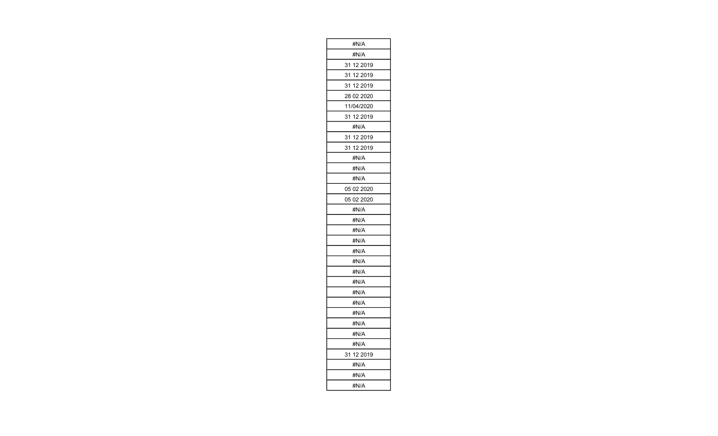| #N/A          |
|---------------|
| #N/A          |
| 31 12 2019    |
| 31 12 2019    |
| 31 12 2019    |
| 28 02 2020    |
| 11/04/2020    |
| 31 12 2019    |
| #N/A          |
| 31<br>12 2019 |
| 31 12 2019    |
| #N/A          |
| #N/A          |
| #N/A          |
| 05 02 2020    |
| 05 02 2020    |
| #N/A          |
| #N/A          |
| #N/A          |
| #N/A          |
| #N/A          |
| #N/A          |
| #N/A          |
| #N/A          |
| #N/A          |
| #N/A          |
| #N/A          |
| #N/A          |
| #N/A          |
| #N/A          |
| 31 12 2019    |
| #N/A          |
| #N/A          |
| #N/A          |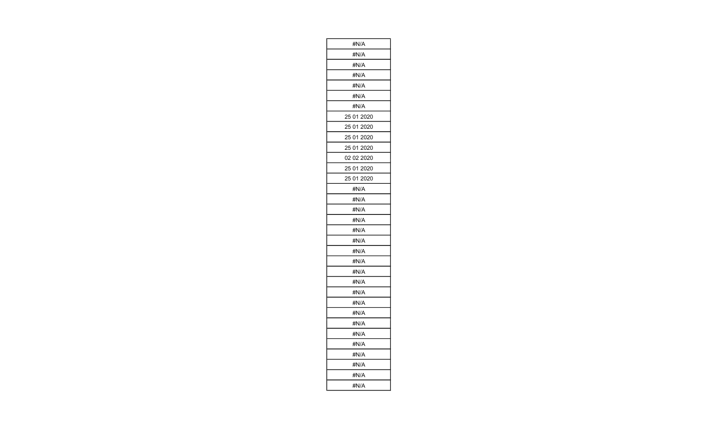| #N/A          |
|---------------|
| #N/A          |
| #N/A          |
| #N/A          |
| #N/A          |
| #N/A          |
| #N/A          |
| 25 01 2020    |
| 25 01<br>2020 |
| 25 01<br>2020 |
| 25 01 2020    |
| 02 02 2020    |
| 25 01 2020    |
| 25 01 2020    |
| #N/A          |
| #N/A          |
| #N/A          |
| #N/A          |
| #N/A          |
| #N/A          |
| #N/A          |
| #N/A          |
| #N/A          |
| #N/A          |
| #N/A          |
| #N/A          |
| #N/A          |
| #N/A          |
| #N/A          |
| #N/A          |
| #N/A          |
| #N/A          |
| #N/A          |
| #N/A          |